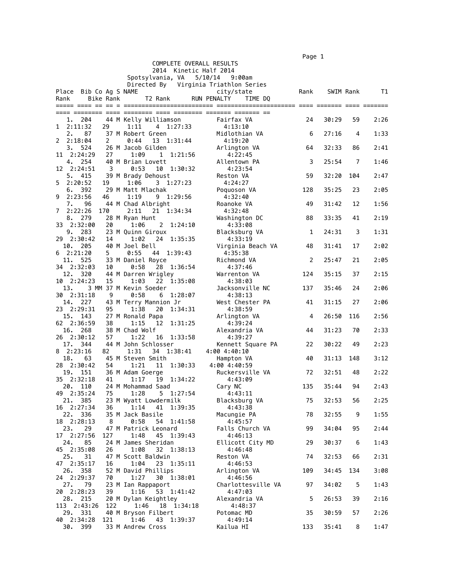$\blacksquare$  Page 1  $\blacksquare$ 

|           |                        |           |                                          |         |                            |                    | .    |           |     |      |
|-----------|------------------------|-----------|------------------------------------------|---------|----------------------------|--------------------|------|-----------|-----|------|
|           |                        |           |                                          |         | COMPLETE OVERALL RESULTS   |                    |      |           |     |      |
|           |                        |           |                                          |         | 2014 Kinetic Half 2014     |                    |      |           |     |      |
|           |                        |           | Spotsylvania, VA                         |         | 5/10/14                    | 9:00am             |      |           |     |      |
|           |                        |           | Directed By Virginia Triathlon Series    |         |                            |                    |      |           |     |      |
|           | Place Bib Co Ag S NAME |           |                                          |         | city/state                 |                    | Rank | SWIM Rank |     | T1   |
| Rank      |                        | Bike Rank | T2 Rank                                  |         | RUN PENALTY                | TIME DQ            |      |           |     |      |
|           |                        |           |                                          |         |                            |                    |      |           |     |      |
|           |                        |           |                                          |         |                            |                    |      |           |     |      |
|           | 1.<br>204              |           | 44 M Kelly Williamson                    |         | Fairfax VA                 |                    | 24   | 30:29     | 59  | 2:26 |
| 1         | 2:11:32                | 29        | 1:11<br>4 1:27:33                        |         | 4:13:10                    |                    |      |           |     |      |
| 2.        | 87                     |           | 37 M Robert Green                        |         | Midlothian VA              |                    | 6    | 27:16     | 4   | 1:33 |
|           | 22:18:04               | 2         | 0:44<br>13 1:31:44                       |         | 4:19:20                    |                    |      |           |     |      |
| 3.        | 524                    |           | 26 M Jacob Gilden                        |         | Arlington VA               |                    | 64   | 32:33     | 86  | 2:41 |
| 11        | 2:24:29                | 27        | 1:09<br>1 1:21:56                        |         | 4:22:45                    |                    |      |           |     |      |
|           | 254<br>4.              |           | 40 M Brian Lovett                        |         | Allentown PA               |                    | 3    | 25:54     | 7   | 1:46 |
| 12        | 2:24:51                | 3         | 0:53<br>10 1:30:32                       |         | 4:23:54                    |                    |      |           |     |      |
| 5.        | 415                    |           | 39 M Brady Dehoust                       |         | Reston VA                  |                    | 59   | 32:20     | 104 | 2:47 |
| 5.        | 2:20:52                | 19        | 1:06<br>3 1:27:23                        |         | 4:24:27                    |                    |      |           |     |      |
| 6.        | 392                    |           | 29 M Matt Mlachak                        |         | Poquoson VA                |                    | 128  | 35:25     | 23  | 2:05 |
| 9         | 2:23:56                | 46        | 1:19<br>9 1:29:56                        |         | 4:32:40                    |                    |      |           |     |      |
| 7.        | 96                     |           |                                          |         | Roanoke VA                 |                    | 49   | 31:42     | 12  | 1:56 |
| 7         | 2:22:26                | 170       | 44 M Chad Albright<br>2:11<br>21 1:34:34 |         | 4:32:48                    |                    |      |           |     |      |
| 8.        | 279                    |           |                                          |         |                            |                    |      | 33:35     | 41  | 2:19 |
|           |                        |           | 28 M Ryan Hunt                           |         | Washington DC              |                    | 88   |           |     |      |
| 33        | 2:32:00<br>283         | 20        | 1:06<br>$\mathbf{2}$                     | 1:24:10 | 4:33:08                    |                    |      | 24:31     | 3   | 1:31 |
| 9.        |                        |           | 23 M Quinn Giroux                        |         |                            | Blacksburg VA      | 1    |           |     |      |
|           | 29 2:30:42             | 14        | 1:02<br>24 1:35:35                       |         | 4:33:19                    |                    |      |           |     |      |
| 10.       | 205                    |           | 40 M Joel Bell                           |         |                            | Virginia Beach VA  | 48   | 31:41     | 17  | 2:02 |
| 6         | 2:21:20                | 5         | 0:55<br>44 1:39:43                       |         | 4:35:38                    |                    |      |           |     |      |
| 11.       | 525                    |           | 33 M Daniel Royce                        |         | Richmond VA                |                    | 2    | 25:47     | 21  | 2:05 |
|           | 34 2:32:03             | 10        | 0:58<br>28 1:36:54                       |         | 4:37:46                    |                    |      |           |     |      |
|           | 12. 320                |           | 44 M Darren Wrigley                      |         | Warrenton VA               |                    | 124  | 35:15     | 37  | 2:15 |
|           | 10 2:24:23             | 15        | 22<br>1:03                               | 1:35:08 | 4:38:03                    |                    |      |           |     |      |
| 13.       |                        |           | 3 MM 37 M Kevin Soeder                   |         |                            | Jacksonville NC    | 137  | 35:46     | 24  | 2:06 |
|           | 30 2:31:18             | 9         | 0:58<br>6                                | 1:28:07 | 4:38:13                    |                    |      |           |     |      |
|           | 14. 227                |           | 43 M Terry Mannion Jr                    |         |                            | West Chester PA    | 41   | 31:15     | 27  | 2:06 |
|           | 23 2:29:31             | 95        | 1:38<br>20                               | 1:34:31 | 4:38:59                    |                    |      | 26:50     | 116 | 2:56 |
| 15.       | 143                    |           | 27 M Ronald Papa                         |         | Arlington VA               |                    | 4    |           |     |      |
|           | 62 2:36:59             | 38        | 1:15<br>12<br>38 M Chad Wolf             | 1:31:25 | 4:39:24                    |                    |      | 31:23     |     | 2:33 |
| 16.       | 268<br>26 2:30:12      | 57        | 1:22<br>16                               | 1:33:58 | 4:39:27                    | Alexandria VA      | 44   |           | 70  |      |
| 17.       |                        |           | 44 M John Schlosser                      |         |                            |                    |      | 30:22     | 49  | 2:23 |
|           | 344<br>82:23:16        |           | 1:31<br>34 1:38:41                       |         | 4:00 4:40:10               | Kennett Square PA  | 22   |           |     |      |
| 18.       | 63                     | 82        | 45 M Steven Smith                        |         |                            |                    | 40   | 31:13     | 148 | 3:12 |
|           | 28 2:30:42             |           | 1:21<br>11                               |         | Hampton VA<br>4:00 4:40:59 |                    |      |           |     |      |
| 19.       | 151                    | 54        | 36 M Adam Goerge                         | 1:30:33 |                            | Ruckersville VA    | 72   | 32:51     | 48  | 2:22 |
|           | 2:32:18                |           |                                          |         |                            |                    |      |           |     |      |
| 35<br>20. | 110                    | 41        | 1:17<br>19                               | 1:34:22 | 4:43:09                    |                    |      | 35:44     | 94  | 2:43 |
|           | 49 2:35:24             |           | 24 M Mohammad Saad<br>1:28<br>5 1:27:54  |         | Cary NC                    |                    | 135  |           |     |      |
|           | 21. 385                | 75        | 23 M Wyatt Lowdermilk                    |         | 4:43:11                    | Blacksburg VA      | 75   | 32:53     | 56  | 2:25 |
|           | 16 2:27:34             | 36        | 1:14<br>41                               | 1:39:35 |                            | 4:43:38            |      |           |     |      |
|           | 22. 336                |           | 35 M Jack Basile                         |         | Macungie PA                |                    | 78   | 32:55     | 9   | 1:55 |
|           | 18 2:28:13             | 8         | 0:58<br>54                               | 1:41:58 |                            | 4:45:57            |      |           |     |      |
| 23.       | 29                     |           | 47 M Patrick Leonard                     |         |                            | Falls Church VA    | 99   | 34:04     | 95  | 2:44 |
|           | 17 2:27:56             | 127       | 1:48<br>45                               | 1:39:43 | 4:46:13                    |                    |      |           |     |      |
| 24.       | 85                     |           | 24 M James Sheridan                      |         |                            | Ellicott City MD   | 29   | 30:37     | 6   | 1:43 |
|           | 45 2:35:08             | 26        | 1:08<br>32                               | 1:38:13 |                            | 4:46:48            |      |           |     |      |
| 25.       | 31                     |           | 47 M Scott Baldwin                       |         | Reston VA                  |                    | 74   | 32:53     | 66  | 2:31 |
|           | 47 2:35:17             | 16        | 1:04<br>23 1:35:11                       |         | 4:46:53                    |                    |      |           |     |      |
|           | 26. 358                |           | 52 M David Phillips                      |         | Arlington VA               |                    | 109  | 34:45     | 134 | 3:08 |
|           | 24 2:29:37             | 70        | 1:27<br>30 1:38:01                       |         | 4:46:56                    |                    |      |           |     |      |
| 27.       | 79                     |           | 23 M Ian Rappaport                       |         |                            | Charlottesville VA | 97   | 34:02     | 5   | 1:43 |
|           | 20 2:28:23             | 39        | 1:16<br>53 1:41:42                       |         | 4:47:03                    |                    |      |           |     |      |
|           | 28. 215                |           | 20 M Dylan Keightley                     |         |                            | Alexandria VA      | 5    | 26:53     | 39  | 2:16 |
|           | 113 2:43:26            | 122       | 18 1:34:18<br>1:46                       |         |                            | 4:48:37            |      |           |     |      |
|           | 29. 331                |           | 40 M Bryson Filbert                      |         | Potomac MD                 |                    | 35   | 30:59     | 57  | 2:26 |
|           | 40 2:34:28             | 121       | 1:46<br>43 1:39:37                       |         | 4:49:14                    |                    |      |           |     |      |
| 30.       | 399                    |           | 33 M Andrew Cross                        |         | Kailua HI                  |                    | 133  | 35:41     | 8   | 1:47 |
|           |                        |           |                                          |         |                            |                    |      |           |     |      |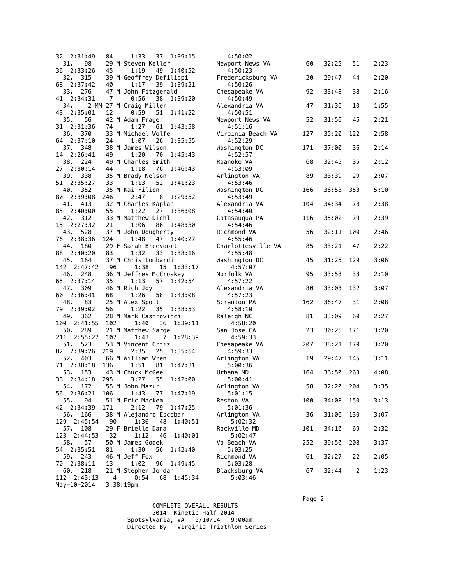| 32 2:31:49                 | 84  | 1:33<br>37 1:39:15                              | 4:50:02                       |     |           |     |      |
|----------------------------|-----|-------------------------------------------------|-------------------------------|-----|-----------|-----|------|
| 98<br>31.<br>36 2:33:26    | 45  | 29 M Steven Keller<br>1:19<br>49 1:40:52        | Newport News VA<br>4:50:23    | 60  | 32:25     | 51  | 2:23 |
| 32.<br>315                 |     | 39 M Geoffrey Defilippi                         | Fredericksburg VA             | 20  | 29:47     | 44  | 2:20 |
| 68 2:37:42<br>33.<br>276   | 40  | 1:17<br>39<br>1:39:21<br>47 M John Fitzgerald   | 4:50:26<br>Chesapeake VA      | 92  | 33:48     | 38  | 2:16 |
| 41 2:34:31<br>34.          | 7   | 0:56<br>38<br>1:39:20<br>2 MM 27 M Craig Miller | 4:50:49<br>Alexandria VA      | 47  | 31:36     | 10  | 1:55 |
| 43 2:35:01<br>35.<br>56    | 12  | 0:59<br>51<br>1:41:22<br>42 M Adam Frager       | 4:50:51<br>Newport News VA    | 52  | 31:56     | 45  | 2:21 |
| 31 2:31:36                 | 74  | 1:27<br>61<br>1:43:58                           | 4:51:16                       |     |           |     |      |
| 36. 370<br>64 2:37:10      | 24  | 33 M Michael Wolfe<br>1:07<br>26<br>1:35:55     | Virginia Beach VA<br>4:52:29  | 127 | 35:20     | 122 | 2:58 |
| 37. 348<br>14 2:26:41      | 49  | 38 M James Wilson<br>1:20<br>70<br>1:45:43      | Washington DC<br>4:52:57      | 171 | 37:00     | 36  | 2:14 |
| 38.<br>224                 |     | 49 M Charles Smith                              | Roanoke VA                    | 68  | 32:45     | 35  | 2:12 |
| 27 2:30:14<br>39.<br>338   | 44  | 76<br>1:46:43<br>1:18<br>35 M Brady Nelson      | 4:53:09<br>Arlington VA       | 89  | 33:39     | 29  | 2:07 |
| 51 2:35:27<br>40. 352      | 33  | 1:13<br>52<br>1:41:23<br>35 M Kai Filion        | 4:53:46<br>Washington DC      | 166 | 36:53     | 353 | 5:10 |
| 80 2:39:08                 | 246 | 2:47<br>1:29:52<br>8                            | 4:53:49                       |     |           |     |      |
| 413<br>41.<br>85 2:40:00   | 55  | 32 M Charles Kaplan<br>1:22<br>1:36:08<br>27    | Alexandria VA<br>4:54:40      | 104 | 34:34     | 78  | 2:38 |
| 42.<br>312<br>15 2:27:32   | 21  | 33 M Matthew Diehl<br>1:06<br>86<br>1:48:30     | Catasaugua PA<br>4:54:46      | 116 | 35:02     | 79  | 2:39 |
| 43.<br>528                 |     | 37 M John Dougherty                             | Richmond VA                   | 56  | 32:11     | 100 | 2:46 |
| 76 2:38:36<br>44.<br>180   | 124 | 1:48<br>47 1:40:27<br>29 F Sarah Breevoort      | 4:55:46<br>Charlottesville VA | 85  | 33:21     | 47  | 2:22 |
| 88 2:40:20<br>45.<br>164   | 83  | 33<br>1:32<br>1:38:16<br>37 M Chris Lombardi    | 4:55:48<br>Washington DC      | 45  | 31:25     | 129 | 3:06 |
| 142 2:47:42<br>46. 248     | 96  | 1:38<br>15 1:33:17<br>36 M Jeffrey McCroskey    | 4:57:07<br>Norfolk VA         | 95  | 33:53     | 33  | 2:10 |
| 65 2:37:14                 | 35  | 57<br>1:13<br>1:42:54                           | 4:57:22                       |     |           |     |      |
| 47.<br>309<br>60 2:36:41   | 68  | 46 M Rich Joy<br>1:26<br>58<br>1:43:08          | Alexandria VA<br>4:57:23      | 80  | 33:03     | 132 | 3:07 |
| 48.<br>83<br>79 2:39:02    | 56  | 25 M Alex Spott<br>1:22<br>35<br>1:38:53        | Scranton PA<br>4:58:10        | 162 | 36:47     | 31  | 2:08 |
| 49. 362                    |     | 28 M Mark Castrovinci                           | Raleigh NC                    | 81  | 33:09     | 60  | 2:27 |
| 100 2:41:55<br>50.<br>289  | 102 | 1:40<br>36 1:39:11<br>21 M Matthew Sarge        | 4:58:20<br>San Jose CA        | 23  | 30:25     | 171 | 3:20 |
| 211 2:55:27<br>51.<br>523  | 107 | 71:28:39<br>1:43<br>53 M Vincent Ortiz          | 4:59:33<br>Chesapeake VA      | 207 | 38:21     | 170 | 3:20 |
| 82 2:39:26                 | 219 | 25<br>2:35<br>1:35:54                           | 4:59:33                       |     |           |     |      |
| 52.<br>403<br>71 2:38:18   | 136 | 66 M William Wren<br>1:51<br>81<br>1:47:31      | Arlington VA<br>5:00:36       | 19  | 29:47     | 145 | 3:11 |
| 153<br>53.<br>38 2:34:18   | 295 | 43 M Chuck McGee<br>3:27<br>55<br>1:42:00       | Urbana MD<br>5:00:41          | 164 | 36:50     | 263 | 4:08 |
| 54. 172                    |     | 55 M John Mazur                                 | Arlington VA                  | 58  | 32:20 204 |     | 3:35 |
| 56 2:36:21<br>55.<br>94    | 106 | 1:43<br>1:47:19<br>77<br>51 M Eric Mackem       | 5:01:15<br>Reston VA          | 100 | 34:08     | 150 | 3:13 |
| 42 2:34:39<br>56.<br>166   | 171 | 1:47:25<br>2:12<br>79<br>38 M Alejandro Escobar | 5:01:36<br>Arlington VA       | 36  | 31:06     | 130 | 3:07 |
| 129 2:45:54                | 90  | 1:36<br>48<br>1:40:51                           | 5:02:32                       |     |           | 69  |      |
| 57.<br>108<br>123 2:44:53  | 32  | 29 F Brielle Dana<br>1:12<br>46<br>1:40:01      | Rockville MD<br>5:02:47       | 101 | 34:10     |     | 2:32 |
| 58.<br>57<br>54 2:35:51    | 81  | 50 M James Godek<br>1:30<br>1:42:40<br>56       | Va Beach VA<br>5:03:25        | 252 | 39:50     | 208 | 3:37 |
| 59. 243<br>70 2:38:11      | 13  | 46 M Jeff Fox<br>1:02<br>96<br>1:49:45          | Richmond VA<br>5:03:28        | 61  | 32:27     | 22  | 2:05 |
| 60. 218                    |     | 21 M Stephen Jordan                             | Blacksburg VA                 | 67  | 32:44     | 2   | 1:23 |
| 112 2:43:13<br>May-10-2014 | 4   | 0:54<br>68 1:45:34<br>3:38:19 <sub>pm</sub>     | 5:03:46                       |     |           |     |      |
|                            |     |                                                 |                               |     |           |     |      |

 COMPLETE OVERALL RESULTS 2014 Kinetic Half 2014 Spotsylvania, VA 5/10/14 9:00am Directed By Virginia Triathlon Series

Page 2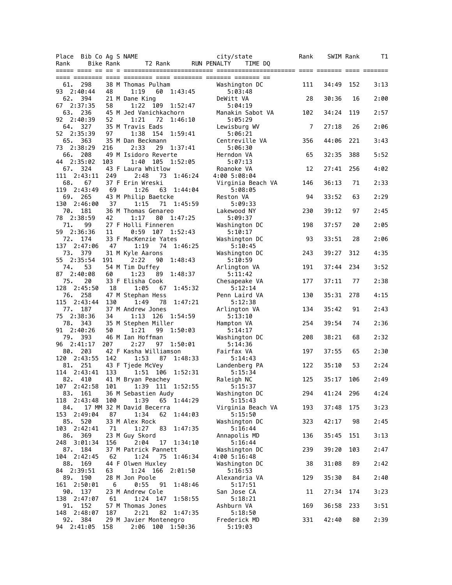|                   | Place Bib Co Ag S NAME |                  |                                                 |         | city/state                    | Rank |       | SWIM Rank | T1   |
|-------------------|------------------------|------------------|-------------------------------------------------|---------|-------------------------------|------|-------|-----------|------|
| Rank              |                        | <b>Bike Rank</b> | T2 Rank                                         |         | <b>RUN PENALTY</b><br>TIME DQ |      |       |           |      |
|                   |                        |                  |                                                 |         |                               |      |       |           |      |
| 61.               | 298                    |                  | 38 M Thomas Pulham                              |         | Washington DC                 | 111  | 34:49 | 152       | 3:13 |
|                   | 93 2:40:44             | 48               | 1:19<br>60<br>1:43:45                           |         | 5:03:48                       |      |       |           |      |
| 62.               | 394                    |                  | 21 M Dane King                                  |         | DeWitt VA                     | 28   | 30:36 | 16        | 2:00 |
|                   | 67 2:37:35             | 58               | 1:22<br>109<br>1:52:47                          |         | 5:04:19                       |      |       |           |      |
| 63.<br>92 2:40:39 | 236                    | 52               | 45 M Jed Vanichkachorn<br>1:21<br>72<br>1:46:10 |         | Manakin Sabot VA<br>5:05:29   | 102  | 34:24 | 119       | 2:57 |
|                   | 64. 327                |                  | 35 M Travis Eads                                |         | Lewisburg WV                  | 7    | 27:18 | 26        | 2:06 |
|                   | 52 2:35:39             | 97               | 1:38<br>154<br>1:59:41                          |         | 5:06:21                       |      |       |           |      |
|                   | 65. 363                |                  | 35 M Dan Beckmann                               |         | Centreville VA                | 356  | 44:06 | 221       | 3:43 |
| 66.               | 73 2:38:29<br>208      | 216              | 2:33<br>29<br>1:37:41<br>49 M Isidoro Reverte   |         | 5:06:30<br>Herndon VA         | 65   | 32:35 | 388       | 5:52 |
|                   | 44 2:35:02             | 103              | 105<br>1:40<br>1:52:05                          |         | 5:07:13                       |      |       |           |      |
|                   | 67. 324                |                  | 43 F Laura Whitlow                              |         | Roanoke VA                    | 12   | 27:41 | 256       | 4:02 |
| 111               | 2:43:11                | 249              | 2:48<br>73 1:46:24                              |         | 4:00 5:08:04                  |      |       |           |      |
| 68.               | 67                     |                  | 37 F Erin Wreski                                |         | Virginia Beach VA             | 146  | 36:13 | 71        | 2:33 |
| 119<br>69.        | 2:43:49<br>265         | 69               | 1:26<br>63 1:44:04<br>43 M Philip Baetcke       |         | 5:08:05<br>Reston VA          | 94   | 33:52 | 63        | 2:29 |
|                   | 130 2:46:00            | 37               | 1:15<br>71 1:45:59                              |         | 5:09:33                       |      |       |           |      |
| 70.               | 181                    |                  | 36 M Thomas Genareo                             |         | Lakewood NY                   | 230  | 39:12 | 97        | 2:45 |
|                   | 78 2:38:59             | 42               | 1:17<br>80<br>1:47:25                           |         | 5:09:37                       |      |       |           |      |
| 71.               | 99<br>59 2:36:36       |                  | 27 F Holli Finneren<br>0:59<br>107<br>1:52:43   |         | Washington DC<br>5:10:17      | 198  | 37:57 | 20        | 2:05 |
| 72.               | 174                    | 11               | 33 F MacKenzie Yates                            |         | Washington DC                 | 93   | 33:51 | 28        | 2:06 |
| 137               | 2:47:06                | 47               | 1:19<br>74 1:46:25                              |         | 5:10:45                       |      |       |           |      |
| 73.               | 379                    |                  | 31 M Kyle Aarons                                |         | Washington DC                 | 243  | 39:27 | 312       | 4:35 |
|                   | 55 2:35:54             | 191              | 2:22<br>90<br>1:48:43                           |         | 5:10:59                       |      |       |           |      |
| 74.<br>87 2:40:08 | 53                     | 60               | 54 M Tim Duffey<br>89<br>1:48:37<br>1:23        |         | Arlington VA<br>5:11:42       | 191  | 37:44 | 234       | 3:52 |
| 75.               | 20                     |                  | 33 F Elisha Cook                                |         | Chesapeake VA                 | 177  | 37:11 | 77        | 2:38 |
|                   | 128 2:45:50            | 18               | 1:05<br>67                                      | 1:45:32 | 5:12:14                       |      |       |           |      |
|                   | 76. 258                |                  | 47 M Stephan Hess                               |         | Penn Laird VA                 | 130  | 35:31 | 278       | 4:15 |
| 77.               | 115 2:43:44<br>187     | 130              | 1:49<br>78<br>37 M Andrew Jones                 | 1:47:21 | 5:12:38<br>Arlington VA       | 134  | 35:42 | 91        | 2:43 |
| 75 2:38:36        |                        | 34               | 1:13<br>126<br>1:54:59                          |         | 5:13:10                       |      |       |           |      |
|                   | 78. 343                |                  | 35 M Stephen Miller                             |         | Hampton VA                    | 254  | 39:54 | 74        | 2:36 |
| 91 2:40:26        |                        | 50               | 1:21<br>99<br>1:50:03                           |         | 5:14:17                       |      |       |           |      |
| 79.               | 393                    |                  | 46 M Ian Hoffman                                |         | Washington DC                 | 208  | 38:21 | 68        | 2:32 |
| 80.               | 96 2:41:17<br>203      | 207              | 2:27<br>97<br>1:50:01<br>42 F Kasha Williamson  |         | 5:14:36<br>Fairfax VA         | 197  | 37:55 | 65        | 2:30 |
| 120               | 2:43:55                | 142              | 1:53<br>87<br>1:48:33                           |         | 5:14:43                       |      |       |           |      |
| 81.               | 251                    |                  | 43 F Tjede McVey                                |         | Landenberg PA                 | 122  | 35:10 | 53        | 2:24 |
| 114               | 2:43:41                | 133              | 1:51 106                                        | 1:52:31 | 5:15:34                       |      |       |           |      |
| 82.               | 410<br>107 2:42:58     |                  | 41 M Bryan Peachey<br>101 1:39 111 1:52:55      |         | Raleigh NC<br>5:15:37         | 125  | 35:17 | 106       | 2:49 |
|                   | 83. 161                |                  | 36 M Sebastien Audy                             |         | Washington DC                 | 294  | 41:24 | 296       | 4:24 |
| 118               | 2:43:48                | 100              | 1:39<br>65 1:44:29                              |         | 5:15:43                       |      |       |           |      |
| 84.               |                        |                  | 17 MM 32 M David Becerra                        |         | Virginia Beach VA             | 193  | 37:48 | 175       | 3:23 |
| 153               | 2:49:04                | 87               | 1:34<br>62 1:44:03                              |         | 5:15:50                       |      |       |           |      |
| 85.               | 520<br>103 2:42:41     | 71               | 33 M Alex Rock<br>1:27<br>83                    | 1:47:35 | Washington DC<br>5:16:44      | 323  | 42:17 | 98        | 2:45 |
|                   | 86. 369                |                  | 23 M Guy Skord                                  |         | Annapolis MD                  | 136  | 35:45 | 151       | 3:13 |
|                   | 248 3:01:34            | 156              | 2:04<br>17 1:34:10                              |         | 5:16:44                       |      |       |           |      |
| 87.               | 184                    |                  | 37 M Patrick Pannett                            |         | Washington DC                 | 239  | 39:20 | 103       | 2:47 |
| 88.               | 104 2:42:45<br>169     | 62               | 1:24<br>75<br>1:46:34<br>44 F Olwen Huxley      |         | 4:00 5:16:48<br>Washington DC | 38   | 31:08 | 89        | 2:42 |
| 84 2:39:51        |                        | 63               | 1:24 166 2:01:50                                |         | 5:16:53                       |      |       |           |      |
| 89.               | 190                    |                  | 28 M Jon Poole                                  |         | Alexandria VA                 | 129  | 35:30 | 84        | 2:40 |
| 161               | 2:50:01                | 6                | 0:55<br>91                                      | 1:48:46 | 5:17:51                       |      |       |           |      |
| 90.<br>138        | 137<br>2:47:07         | 61               | 23 M Andrew Cole<br>1:24 147                    | 1:58:55 | San Jose CA<br>5:18:21        | 11   | 27:34 | 174       | 3:23 |
| 91.               | 152                    |                  | 57 M Thomas Jones                               |         | Ashburn VA                    | 169  | 36:58 | 233       | 3:51 |
|                   | 148 2:48:07            | 187              | 2:21<br>82                                      | 1:47:35 | 5:18:50                       |      |       |           |      |
| 92.               | 384                    |                  | 29 M Javier Montenegro                          |         | Frederick MD                  | 331  | 42:40 | 80        | 2:39 |
|                   | 94 2:41:05             | 158              | 2:06 100 1:50:36                                |         | 5:19:03                       |      |       |           |      |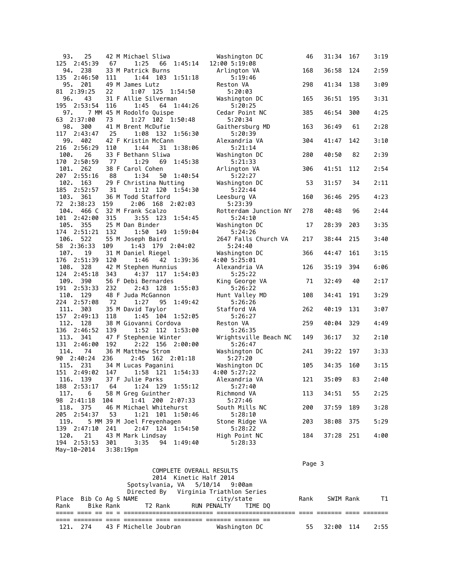| 93.<br>25               |     | 42 M Michael Sliwa                          | Washington DC          | 46  | 31:34 | 167 | 3:19 |
|-------------------------|-----|---------------------------------------------|------------------------|-----|-------|-----|------|
| 125<br>2:45:39          | 67  | 1:25<br>66<br>1:45:14                       | 12:00 5:19:08          |     |       |     |      |
| 94.<br>238              |     | 33 M Patrick Burns                          | Arlington VA           | 168 | 36:58 | 124 | 2:59 |
| 135 2:46:50             | 111 | 1:51:18<br>1:44<br>103                      | 5:19:46                |     |       |     |      |
| 95.<br>201              |     | 49 M James Lutz                             | Reston VA              | 298 | 41:34 | 138 | 3:09 |
| 81 2:39:25              | 22  | $1:07$ 125<br>1:54:50                       | 5:20:03                |     |       |     |      |
| 43<br>96.               |     | 31 F Allie Silverman                        | Washington DC          | 165 | 36:51 | 195 | 3:31 |
| 195 2:53:54             | 116 | 1:45<br>64 1:44:26                          | 5:20:25                |     |       |     |      |
| 97.                     |     | 7 MM 45 M Rodolfo Quispe                    | Cedar Point NC         | 385 | 46:54 | 300 | 4:25 |
| 63 2:37:00              | 73  | 102<br>1:27<br>1:50:48                      | 5:20:34                |     |       |     |      |
| 98.<br>300              |     | 41 M Brent McDufie                          | Gaithersburg MD        | 163 | 36:49 | 61  | 2:28 |
| 2:43:47<br>117          | 25  | 1:08<br>132 1:56:30                         | 5:20:39                |     |       |     |      |
| 99.<br>402              |     | 42 F Kristin McCann                         | Alexandria VA          | 304 | 41:47 | 142 | 3:10 |
| 216 2:56:29             | 110 | 1:44<br>31<br>1:38:06                       | 5:21:14                |     |       |     |      |
| 100.<br>26              |     | 33 F Bethann Sliwa                          | Washington DC          | 280 | 40:50 | 82  | 2:39 |
| 170<br>2:50:59          | 77  | 1:29<br>69<br>1:45:38                       | 5:21:33                |     |       |     |      |
| 262<br>101.             |     | 38 F Carol Cohen                            | Arlington VA           | 306 | 41:51 | 112 | 2:54 |
| 2:55:16<br>207          | 88  | 1:34<br>50<br>1:40:54                       | 5:22:27                |     |       |     |      |
| 102.<br>163             |     | 29 F Christina Nutting                      | Washington DC          | 53  | 31:57 | 34  | 2:11 |
| 185<br>2:52:57          | 31  | 1:12<br>1:54:30<br>120                      | 5:22:44                |     |       |     |      |
| 103.<br>361             |     | 36 M Todd Stafford                          |                        |     |       | 295 | 4:23 |
|                         |     |                                             | Leesburg VA            | 160 | 36:46 |     |      |
| 72 2:38:23              | 159 | 2:06<br>168<br>2:02:03                      | 5:23:39                |     |       |     |      |
| 104.<br>466 C           |     | 32 M Frank Scalzo                           | Rotterdam Junction NY  | 278 | 40:48 | 96  | 2:44 |
| 101<br>2:42:00          | 315 | 3:55 123<br>1:54:45                         | 5:24:10                |     |       |     |      |
| 105. 355                |     | 25 M Dan Binder                             | Washington DC          | 17  | 28:39 | 203 | 3:35 |
| 2:51:21<br>174          | 132 | 1:59:04<br>1:50<br>149                      | 5:24:26                |     |       |     |      |
| 106.<br>522             |     | 55 M Joseph Baird                           | 2647 Falls Church VA   | 217 | 38:44 | 215 | 3:40 |
| 58 2:36:33              | 109 | 1:43<br>179 2:04:02                         | 5:24:40                |     |       |     |      |
| 107.<br>19              |     | 31 M Daniel Riegel                          | Washington DC          | 366 | 44:47 | 161 | 3:15 |
| 176<br>2:51:39          | 120 | 1:46<br>42 1:39:36                          | 4:00 5:25:01           |     |       |     |      |
| 108. 328                |     | 42 M Stephen Hunnius                        | Alexandria VA          | 126 | 35:19 | 394 | 6:06 |
| 124<br>2:45:18          | 343 | 4:37<br>117 1:54:03                         | 5:25:22                |     |       |     |      |
| 109.<br>390             |     | 56 F Debi Bernardes                         | King George VA         | 71  | 32:49 | 40  | 2:17 |
| 191<br>2:53:33          | 232 | 2:43<br>128 1:55:03                         | 5:26:22                |     |       |     |      |
| 110.<br>129             |     | 48 F Juda McGannon                          | Hunt Valley MD         | 108 | 34:41 | 191 | 3:29 |
| 224<br>2:57:08          | 72  | 1:27<br>95<br>1:49:42                       | 5:26:26                |     |       |     |      |
| 111. 303                |     | 35 M David Taylor                           | Stafford VA            | 262 | 40:19 | 131 | 3:07 |
| 157<br>2:49:13          | 118 | 1:45 104<br>1:52:05                         | 5:26:27                |     |       |     |      |
| 112.<br>128             |     | 38 M Giovanni Cordova                       | Reston VA              | 259 | 40:04 | 329 | 4:49 |
| 136<br>2:46:52          | 139 | 1:52<br>112<br>1:53:00                      | 5:26:35                |     |       |     |      |
| 113.<br>341             |     | 47 F Stephenie Winter                       | Wrightsville Beach NC  | 149 | 36:17 | 32  | 2:10 |
| 131<br>2:46:00          | 192 | 2:22 156<br>2:00:00                         | 5:26:47                |     |       |     |      |
| 114.<br>74              |     | 36 M Matthew Strom                          | Washington DC          | 241 | 39:22 | 197 | 3:33 |
| 2:40:24<br>90           | 236 | 2:45<br>162 2:01:18                         | 5:27:20                |     |       |     |      |
| 115.<br>231             |     | 34 M Lucas Paganini                         | Washington DC          | 105 | 34:35 | 160 | 3:15 |
| 2:49:02<br>151          | 147 | 1:58<br>121 1:54:33                         | 4:00 5:27:22           |     |       |     |      |
| 116.<br>139             |     | 37 F Julie Parks                            | Alexandria VA          | 121 | 35:09 | 83  | 2:40 |
| 188 2:53:17             |     | 64 1:24 129 1:55:12                         |                        |     |       |     |      |
| 117.<br>6               |     | 58 M Greg Guinther                          | 5:27:40<br>Richmond VA | 113 | 34:51 | 55  | 2:25 |
|                         |     | 1:41 200 2:07:33                            |                        |     |       |     |      |
| 98 2:41:18              | 104 |                                             | 5:27:46                |     |       |     |      |
| 118. 375<br>205 2:54:37 |     | 46 M Michael Whitehurst<br>1:21 101 1:50:46 | South Mills NC         | 200 | 37:59 | 189 | 3:28 |
|                         | 53  |                                             | 5:28:10                |     |       |     |      |
| 119.                    |     | 5 MM 39 M Joel Freyenhagen                  | Stone Ridge VA         | 203 | 38:08 | 375 | 5:29 |
| 139 2:47:10             | 241 | 1:54:50<br>2:47 124                         | 5:28:22                |     |       |     |      |
| 120.<br>21              |     | 43 M Mark Lindsay                           | High Point NC          | 184 | 37:28 | 251 | 4:00 |
| 194 2:53:53             | 301 | 3:35<br>94<br>1:49:40                       | 5:28:33                |     |       |     |      |
| May-10-2014             |     | 3:38:19 <sub>pm</sub>                       |                        |     |       |     |      |
|                         |     |                                             |                        |     |       |     |      |

|                                |  |  |                                       |            |                                            | Page 3 |             |      |
|--------------------------------|--|--|---------------------------------------|------------|--------------------------------------------|--------|-------------|------|
|                                |  |  | COMPLETE OVERALL RESULTS              |            |                                            |        |             |      |
|                                |  |  | 2014 Kinetic Half 2014                |            |                                            |        |             |      |
|                                |  |  | Spotsylvania, VA 5/10/14 9:00am       |            |                                            |        |             |      |
|                                |  |  | Directed By Virginia Triathlon Series |            |                                            |        |             |      |
| Place Bib Co Ag S NAME         |  |  |                                       | city/state |                                            | Rank   | SWIM Rank   | T1 T |
|                                |  |  |                                       |            | Rank Bike Rank T2 Rank RUN PENALTY TIME DO |        |             |      |
|                                |  |  |                                       |            |                                            |        |             |      |
|                                |  |  |                                       |            |                                            |        |             |      |
| 121. 274 43 F Michelle Joubran |  |  |                                       |            | Washington DC                              | 55     | $32:00$ 114 | 2:55 |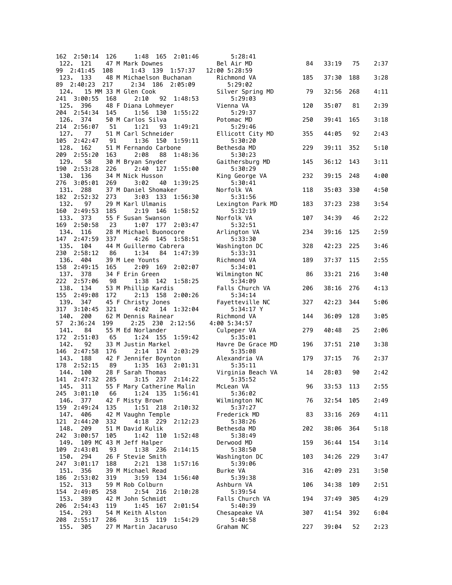| 162 2:50:14                   | 126 | 1:48 165<br>2:01:46                            | 5:28:41                      |     |           |     |      |
|-------------------------------|-----|------------------------------------------------|------------------------------|-----|-----------|-----|------|
| 122.<br>121                   |     | 47 M Mark Downes                               | Bel Air MD                   | 84  | 33:19     | 75  | 2:37 |
| 2:41:45<br>99<br>123.<br>133  | 108 | 1:43 139 1:57:37<br>48 M Michaelson Buchanan   | 12:00 5:28:59<br>Richmond VA | 185 | 37:30     | 188 | 3:28 |
| 2:40:23<br>89                 | 217 | 2:34 186<br>2:05:09                            | 5:29:02                      |     |           |     |      |
| 124.                          |     | 15 MM 33 M Glen Cook                           | Silver Spring MD             | 79  | 32:56     | 268 | 4:11 |
| 241<br>3:00:55<br>125. 396    | 168 | 2:10<br>92 1:48:53                             | 5:29:03                      | 120 | 35:07     | 81  | 2:39 |
| 204 2:54:34                   | 145 | 48 F Diana Lohmeyer<br>1:56<br>130<br>1:55:22  | Vienna VA<br>5:29:37         |     |           |     |      |
| 126.<br>374                   |     | 50 M Carlos Silva                              | Potomac MD                   | 250 | 39:41     | 165 | 3:18 |
| 214 2:56:07                   | 51  | 1:21<br>93<br>1:49:21                          | 5:29:46                      |     |           |     |      |
| 127.<br>77<br>105<br>2:42:47  | 91  | 51 M Carl Schneider<br>1:36<br>150<br>1:59:11  | Ellicott City MD<br>5:30:20  | 355 | 44:05     | 92  | 2:43 |
| 128.<br>162                   |     | 51 M Fernando Carbone                          | Bethesda MD                  | 229 | 39:11     | 352 | 5:10 |
| 209<br>2:55:20                | 163 | 2:08<br>88<br>1:48:36                          | 5:30:23                      |     |           |     |      |
| 129.<br>58<br>190<br>2:53:28  | 226 | 30 M Bryan Snyder<br>2:40<br>127<br>1:55:00    | Gaithersburg MD<br>5:30:29   | 145 | 36:12     | 143 | 3:11 |
| 130.<br>136                   |     | 34 M Nick Husson                               | King George VA               | 232 | 39:15     | 248 | 4:00 |
| 276<br>3:05:01                | 269 | 3:02<br>40<br>1:39:25                          | 5:30:41                      |     |           |     |      |
| 131. 288<br>182<br>2:52:32    | 273 | 37 M Daniel Shomaker<br>3:03<br>1:56:30<br>133 | Norfolk VA<br>5:31:56        | 118 | 35:03     | 330 | 4:50 |
| 132.<br>97                    |     | 29 M Karl Ulmanis                              | Lexington Park MD            | 183 | 37:23     | 238 | 3:54 |
| 160<br>2:49:53                | 185 | 2:19<br>146<br>1:58:52                         | 5:32:19                      |     |           |     |      |
| 133.<br>373<br>169 2:50:58    | 23  | 55 F Susan Swanson<br>1:07<br>177 2:03:47      | Norfolk VA<br>5:32:51        | 107 | 34:39     | 46  | 2:22 |
| 134.<br>116                   |     | 28 M Michael Buonocore                         | Arlington VA                 | 234 | 39:16     | 125 | 2:59 |
| 147 2:47:59                   | 337 | 4:26<br>145<br>1:58:51                         | 5:33:30                      |     |           |     |      |
| 135.<br>104                   |     | 44 M Guillermo Cabrera                         | Washington DC                | 328 | 42:23     | 225 | 3:46 |
| 230 2:58:12<br>136.<br>404    | 86  | 1:34<br>84<br>1:47:39<br>39 M Lee Younts       | 5:33:31<br>Richmond VA       | 189 | 37:37     | 115 | 2:55 |
| 158<br>2:49:15                | 165 | 2:09<br>169<br>2:02:07                         | 5:34:01                      |     |           |     |      |
| 137. 378                      |     | 34 F Erin Green                                | Wilmington NC                | 86  | 33:21     | 216 | 3:40 |
| 222<br>2:57:06<br>138. 134    | 98  | 1:38<br>142<br>1:58:25<br>53 M Phillip Kardis  | 5:34:09<br>Falls Church VA   | 206 | 38:16     | 276 | 4:13 |
| 155<br>2:49:08                | 172 | 158 2:00:26<br>2:13                            | 5:34:14                      |     |           |     |      |
| 139.<br>347                   |     | 45 F Christy Jones                             | Fayetteville NC              | 327 | 42:23     | 344 | 5:06 |
| 317 3:10:45<br>140.<br>200    | 321 | 4:02<br>14 1:32:04<br>62 M Dennis Rainear      | 5:34:17 Y<br>Richmond VA     | 144 | 36:09     | 128 | 3:05 |
| 2:36:24<br>57                 | 199 | 2:25 230 2:12:56                               | 4:00 5:34:57                 |     |           |     |      |
| 141.<br>84                    |     | 55 M Ed Norlander                              | Culpeper VA                  | 279 | 40:48     | 25  | 2:06 |
| 172 2:51:03<br>142.<br>92     | 65  | 1:24<br>- 155<br>1:59:42<br>33 M Justin Markel | 5:35:01<br>Havre De Grace MD | 196 | 37:51     | 210 | 3:38 |
| 146<br>2:47:58                | 176 | 2:14<br>174 2:03:29                            | 5:35:08                      |     |           |     |      |
| 143. 188                      |     | 42 F Jennifer Boynton                          | Alexandria VA                | 179 | 37:15     | 76  | 2:37 |
| 178<br>2:52:15<br>144.<br>100 | 89  | 1:35<br>163<br>2:01:31<br>28 F Sarah Thomas    | 5:35:11<br>Virginia Beach VA | 14  | 28:03     | 90  | 2:42 |
| 141<br>2:47:32                | 285 | 3:15<br>237<br>2:14:22                         | 5:35:52                      |     |           |     |      |
| 145. 311                      |     | 55 F Mary Catherine Malin                      | McLean VA                    | 96  | 33:53 113 |     | 2:55 |
| 245 3:01:10<br>146.<br>377    | 66  | 1:56:41<br>1:24 135<br>42 F Misty Brown        | 5:36:02<br>Wilmington NC     | 76  | 32:54     | 105 | 2:49 |
| 159 2:49:24                   | 135 | 218<br>1:51<br>2:10:32                         | 5:37:27                      |     |           |     |      |
| 147.<br>406                   |     | 42 M Vaughn Temple                             | Frederick MD                 | 83  | 33:16     | 269 | 4:11 |
| 121 2:44:20<br>148.           | 332 | 2:12:23<br>4:18 229<br>51 M David Kulik        | 5:38:26                      |     |           | 364 | 5:18 |
| 209<br>242 3:00:57            | 105 | 1:42<br>110<br>1:52:48                         | Bethesda MD<br>5:38:49       | 202 | 38:06     |     |      |
| 149.                          |     | 109 MC 43 M Jeff Halper                        | Derwood MD                   | 159 | 36:44     | 154 | 3:14 |
| 109 2:43:01                   | 93  | 1:38 236<br>2:14:15                            | 5:38:50                      |     |           |     |      |
| 150.<br>294<br>247 3:01:17    | 188 | 26 F Stevie Smith<br>2:21<br>138<br>1:57:16    | Washington DC<br>5:39:06     | 103 | 34:26     | 229 | 3:47 |
| 151.<br>356                   |     | 39 M Michael Read                              | Burke VA                     | 316 | 42:09     | 231 | 3:50 |
| 186 2:53:02                   | 319 | 1:56:40<br>3:59<br>134                         | 5:39:38                      |     |           |     |      |
| 313<br>152.<br>154 2:49:05    | 258 | 59 M Rob Colburn<br>2:54<br>216<br>2:10:28     | Ashburn VA<br>5:39:54        | 106 | 34:38     | 109 | 2:51 |
| 153.<br>389                   |     | 42 M John Schmidt                              | Falls Church VA              | 194 | 37:49     | 305 | 4:29 |
| 206 2:54:43                   | 119 | 1:45<br>167<br>2:01:54                         | 5:40:39                      |     |           |     |      |
| 154.<br>293<br>208 2:55:17    | 286 | 54 M Keith Alston<br>3:15 119<br>1:54:29       | Chesapeake VA<br>5:40:58     | 307 | 41:54     | 392 | 6:04 |
| 155.<br>305                   |     | 27 M Martin Jacaruso                           | Graham NC                    | 227 | 39:04     | 52  | 2:23 |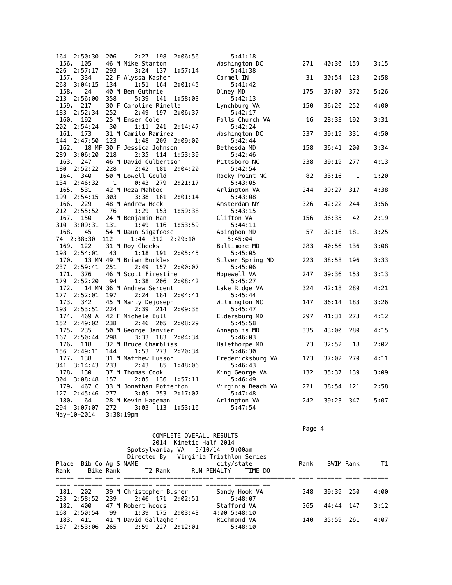| 164<br>2:50:30             | 206 | 2:27<br>198                       | 2:06:56     | 5:41:18                      |     |       |              |      |
|----------------------------|-----|-----------------------------------|-------------|------------------------------|-----|-------|--------------|------|
| 156.<br>105                |     | 46 M Mike Stanton                 |             | Washington DC                | 271 | 40:30 | 159          | 3:15 |
| 2:57:17<br>226             | 293 | 3:24<br>137                       | 1:57:14     | 5:41:38                      |     |       |              |      |
| 157. 334                   |     | 22 F Alyssa Kasher                |             | Carmel IN                    | 31  | 30:54 | 123          | 2:58 |
| 268<br>3:04:15             | 134 | 1:51<br>164                       | 2:01:45     | 5:41:42                      |     |       |              |      |
| 158.<br>24                 |     | 40 M Ben Guthrie                  |             | Olney MD                     | 175 | 37:07 | 372          | 5:26 |
| 213 2:56:00                | 358 | 5:39<br>141                       | 1:58:03     | 5:42:13                      |     |       |              |      |
| 159. 217                   |     | 30 F Caroline Rinella             |             | Lynchburg VA                 | 150 | 36:20 | 252          | 4:00 |
| 183 2:52:34                | 252 | 2:49<br>197                       | 2:06:37     | 5:42:17                      |     |       |              |      |
| 160. 192                   |     | 25 M Enser Cole                   |             | Falls Church VA              | 16  | 28:33 | 192          | 3:31 |
| 202 2:54:24                | 30  | 1:11 241                          | 2:14:47     | 5:42:24                      |     |       |              |      |
| 161. 173                   |     | 31 M Camilo Ramirez               |             | Washington DC                | 237 | 39:19 | 331          | 4:50 |
| 144 2:47:50                | 123 | 1:48                              | 209 2:09:00 | 5:42:44                      |     |       |              |      |
| 162.                       |     | 18 MF 30 F Jessica Johnson        |             | Bethesda MD                  | 158 | 36:41 | 200          | 3:34 |
| 289 3:06:20                | 218 | 2:35<br>114                       | 1:53:39     | 5:42:46                      |     |       |              |      |
| 163.<br>247                |     | 46 M David Culbertson             |             | Pittsboro NC                 | 238 | 39:19 | 277          | 4:13 |
| 2:52:22<br>180             | 228 | 2:42<br>181                       | 2:04:20     | 5:42:54                      |     |       |              |      |
| 164.<br>340                |     | 50 M Lowell Gould                 |             | Rocky Point NC               | 82  | 33:16 | $\mathbf{1}$ | 1:20 |
| 134<br>2:46:32             | 1   | 0:43<br>- 279                     | 2:21:17     | 5:43:05                      |     |       |              |      |
| 165.<br>531                |     | 42 M Reza Mahbod                  |             | Arlington VA                 | 244 | 39:27 | 317          | 4:38 |
| 2:54:15<br>199             | 303 | 3:38<br>161                       | 2:01:14     | 5:43:08                      |     |       |              |      |
| 166. 229                   |     | 48 M Andrew Heck                  |             | Amsterdam NY                 | 326 | 42:22 | 244          | 3:56 |
| 212<br>2:55:52             | 76  | 1:29<br>153                       | 1:59:38     | 5:43:15                      |     |       |              |      |
| 167. 150                   |     | 24 M Benjamin Han                 |             | Clifton VA                   | 156 | 36:35 | 42           | 2:19 |
| 310 3:09:31                | 131 | 1:49<br>116                       | 1:53:59     | 5:44:11                      |     |       |              |      |
| 168.<br>45                 |     | 54 M Daun Sigafoose               |             | Abingbon MD                  | 57  | 32:16 | 181          | 3:25 |
| 2:38:30<br>74              | 112 | 1:44 312                          | 2:29:10     | 5:45:04                      |     |       |              |      |
|                            |     |                                   |             |                              |     |       |              |      |
|                            |     |                                   |             |                              |     |       |              |      |
| 169.<br>122                |     | 31 M Roy Cheeks                   |             | Baltimore MD                 | 283 | 40:56 | 136          | 3:08 |
| 198 2:54:01                | 43  | 1:18<br>191                       | 2:05:45     | 5:45:05                      |     |       |              |      |
| 170.                       |     | 13 MM 49 M Brian Buckles          |             | Silver Spring MD             | 223 | 38:58 | 196          | 3:33 |
| 237 2:59:41                | 251 | 2:49                              | 157 2:00:07 | 5:45:06                      |     |       |              |      |
| 171. 376                   |     | 46 M Scott Firestine              |             | Hopewell VA                  | 247 | 39:36 | 153          | 3:13 |
| 179 2:52:20                | 94  | 1:38<br>206                       | 2:08:42     | 5:45:27                      |     |       |              |      |
| 172.<br>177                | 197 | 14 MM 36 M Andrew Sergent         |             | Lake Ridge VA                | 324 | 42:18 | 289          | 4:21 |
| 2:52:01                    |     | 2:24<br>184                       | 2:04:41     | 5:45:44                      |     |       |              |      |
| 173.<br>342                |     | 45 M Marty Dejoseph               |             | Wilmington NC                | 147 | 36:14 | 183          | 3:26 |
| 193<br>2:53:51             | 224 | 2:39                              | 214 2:09:38 | 5:45:47                      |     |       |              |      |
| 174. 469 A                 |     | 42 F Michele Bull                 |             | Eldersburg MD                | 297 | 41:31 | 273          | 4:12 |
| 152<br>2:49:02<br>175. 235 | 238 | 2:46 205                          | 2:08:29     | 5:45:58                      |     |       | 280          |      |
|                            |     | 50 M George Janvier               |             | Annapolis MD                 | 335 | 43:00 |              | 4:15 |
| 167<br>2:50:44             | 298 | 3:33<br>183                       | 2:04:34     | 5:46:03                      |     |       |              |      |
| 176. 118                   |     | 32 M Bruce Chambliss              |             | Halethorpe MD                | 73  | 32:52 | 18           | 2:02 |
| 156<br>2:49:11<br>177. 138 | 144 | 273<br>1:53                       | 2:20:34     | 5:46:30                      |     |       |              |      |
|                            |     | 31 M Matthew Husson               |             | Fredericksburg VA            | 173 | 37:02 | 270          | 4:11 |
| 341<br>3:14:43             | 233 | 2:43<br>85                        | 1:48:06     | 5:46:43                      |     |       |              |      |
| 178.<br>130<br>304 3:08:48 | 157 | 37 M Thomas Cook<br>2:05<br>136   | 1:57:11     | King George VA<br>5:46:49    | 132 | 35:37 | 139          | 3:09 |
| 179.<br>467 C              |     | 33 M Jonathan Potterton           |             |                              |     | 38:54 | 121          |      |
| 127<br>2:45:46             | 277 | 3:05                              | 2:17:07     | Virginia Beach VA<br>5:47:48 | 221 |       |              | 2:58 |
| 180.<br>64                 |     | 253                               |             |                              | 242 | 39:23 | 347          | 5:07 |
| 294 3:07:07                | 272 | 28 M Kevin Hageman<br>3:03<br>113 | 1:53:16     | Arlington VA<br>5:47:54      |     |       |              |      |

en de la provincia de la provincia de la provincia de la provincia de la provincia de la provincia de la provi

|                                  |                   |                  | COMPLETE OVERALL RESULTS              |      |              |      |
|----------------------------------|-------------------|------------------|---------------------------------------|------|--------------|------|
|                                  |                   |                  | 2014 Kinetic Half 2014                |      |              |      |
|                                  |                   |                  | Spotsylvania, VA 5/10/14 9:00am       |      |              |      |
|                                  |                   |                  | Directed By Virginia Triathlon Series |      |              |      |
| Place                            | Bib Co Aq S NAME  |                  | city/state                            | Rank | SWIM Rank    | - T1 |
| Rank                             | Bike Rank         | T2 Rank          | RUN PENALTY TIME DO                   |      |              |      |
|                                  |                   |                  |                                       |      |              |      |
|                                  |                   |                  |                                       |      |              |      |
| 181. 202 39 M Christopher Busher |                   |                  | Sandy Hook VA                         | 248  | 39:39<br>250 | 4:00 |
| 233 2:58:52                      | 239               | 2:46 171 2:02:51 | 5:48:07                               |      |              |      |
| 182. 400                         | 47 M Robert Woods |                  | Stafford VA                           | 365  | 44:44<br>147 | 3:12 |
| 168 2:50:54                      | 99                | 1:39 175 2:03:43 | 4:00 5:48:10                          |      |              |      |
| 183. 411 41 M David Gallagher    |                   |                  | Richmond VA                           | 140  | 261<br>35:59 | 4:07 |
| 187 2:53:06                      | 265               | 2:59 227 2:12:01 | 5:48:10                               |      |              |      |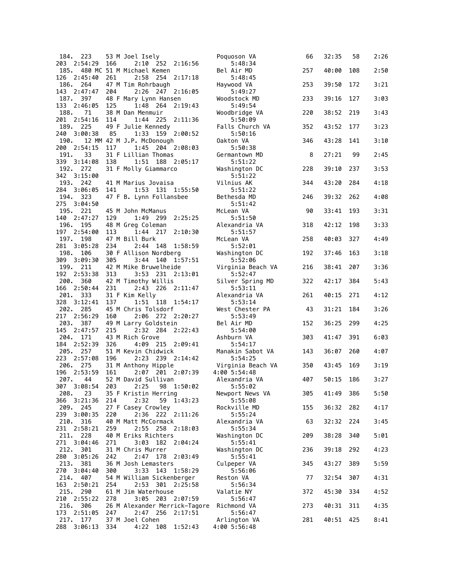|                 | 184. 223           |     | 53 M Joel Isely                               | Poquoson VA                  | 66  | 32:35 | 58  | 2:26 |
|-----------------|--------------------|-----|-----------------------------------------------|------------------------------|-----|-------|-----|------|
| 203             | 2:54:29            | 166 | $2:10$ 252<br>2:16:56                         | 5:48:34                      |     |       |     |      |
| 185.            | 126 2:45:40        | 261 | 480 MC 51 M Michael Kemen<br>2:58 254 2:17:18 | Bel Air MD<br>5:48:45        | 257 | 40:00 | 108 | 2:50 |
| 186. 264        |                    |     | 47 M Tim Rohrbaugh                            | Haywood VA                   | 253 | 39:50 | 172 | 3:21 |
|                 | 143 2:47:47        | 204 | 2:26 247 2:16:05                              | 5:49:27                      |     |       |     |      |
| 187. 397        |                    |     | 48 F Mary Lynn Hansen                         | Woodstock MD                 | 233 | 39:16 | 127 | 3:03 |
|                 | 133 2:46:05        | 125 | 1:48 264 2:19:43                              | 5:49:54                      |     |       |     |      |
| 188.            | 71<br>201 2:54:16  | 114 | 38 M Dan Menmuir<br>1:44 225                  | Woodbridge VA<br>5:50:09     | 220 | 38:52 | 219 | 3:43 |
| 189. 225        |                    |     | 2:11:36<br>49 F Julie Kennedy                 | Falls Church VA              | 352 | 43:52 | 177 | 3:23 |
| 240             | 3:00:38            | 85  | 1:33<br>159 2:00:52                           | 5:50:16                      |     |       |     |      |
| 190.            |                    |     | 12 MM 42 M J.P. McDonough                     | Oakton VA                    | 346 | 43:28 | 141 | 3:10 |
| 200             | 2:54:15            | 117 | 1:45 204 2:08:03                              | 5:50:38                      |     |       |     |      |
| 191.            | 33<br>339 3:14:08  | 138 | 31 F Lillian Thomas<br>1:51 188 2:05:17       | Germantown MD<br>5:51:22     | 8   | 27:21 | 99  | 2:45 |
| 192. 272        |                    |     | 31 F Molly Giammarco                          | Washington DC                | 228 | 39:10 | 237 | 3:53 |
|                 | 342 3:15:00        |     |                                               | 5:51:22                      |     |       |     |      |
| 193. 242        |                    |     | 41 M Marius Jovaisa                           | Vilnius AK                   | 344 | 43:20 | 284 | 4:18 |
| 194. 323        | 284 3:06:05        | 141 | 1:53 131 1:55:50<br>47 F B. Lynn Follansbee   | 5:51:22<br>Bethesda MD       | 246 | 39:32 | 262 | 4:08 |
|                 | 275 3:04:50        |     |                                               | 5:51:42                      |     |       |     |      |
| 195. 221        |                    |     | 45 M John McManus                             | McLean VA                    | 90  | 33:41 | 193 | 3:31 |
|                 | 140 2:47:27        | 129 | 1:49 299<br>2:25:25                           | 5:51:50                      |     |       |     |      |
| 196. 195        |                    |     | 48 M Greg Coleman                             | Alexandria VA                | 318 | 42:12 | 198 | 3:33 |
| 197.            | 197 2:54:00<br>198 | 113 | 1:44 217<br>2:10:30<br>47 M Bill Burk         | 5:51:57<br>McLean VA         | 258 | 40:03 | 327 | 4:49 |
|                 | 281 3:05:28        | 234 | 2:44 148<br>1:58:59                           | 5:52:01                      |     |       |     |      |
| 198. 106        |                    |     | 30 F Allison Nordberg                         | Washington DC                | 192 | 37:46 | 163 | 3:18 |
|                 | 309 3:09:30        | 305 | 3:44 140 1:57:51                              | 5:52:06                      |     |       |     |      |
| 199. 211        | 192 2:53:38        | 313 | 42 M Mike Bruwelheide<br>3:53 231 2:13:01     | Virginia Beach VA<br>5:52:47 | 216 | 38:41 | 207 | 3:36 |
| 200.            | 360                |     | 42 M Timothy Willis                           | Silver Spring MD             | 322 | 42:17 | 384 | 5:43 |
|                 | 166 2:50:44        | 231 | 2:43 226 2:11:47                              | 5:53:11                      |     |       |     |      |
| 201. 333        |                    |     | 31 F Kim Kelly                                | Alexandria VA                | 261 | 40:15 | 271 | 4:12 |
| 202. 285        | 328 3:12:41        | 137 | 1:51 118<br>1:54:17                           | 5:53:14                      | 43  | 31:21 | 184 | 3:26 |
| 217             | 2:56:29            | 160 | 45 M Chris Tolsdorf<br>2:06 272 2:20:27       | West Chester PA<br>5:53:49   |     |       |     |      |
| 203.            | 387                |     | 49 M Larry Goldstein                          | Bel Air MD                   | 152 | 36:25 | 299 | 4:25 |
|                 | 145 2:47:57        | 215 | 2:32 284 2:22:43                              | 5:54:00                      |     |       |     |      |
| 204.            | 171                |     | 43 M Rich Grove                               | Ashburn VA                   | 303 | 41:47 | 391 | 6:03 |
| 205. 257        | 184 2:52:39        | 326 | 4:09 215 2:09:41<br>51 M Kevin Chidwick       | 5:54:17<br>Manakin Sabot VA  | 143 | 36:07 | 260 | 4:07 |
|                 | 223 2:57:08        | 196 | 2:23 239 2:14:42                              | 5:54:25                      |     |       |     |      |
| 206. 275        |                    |     | 31 M Anthony Hipple                           | Virginia Beach VA            | 350 | 43:45 | 169 | 3:19 |
| 196             | 2:53:59            | 161 | 2:07 201 2:07:39                              | 4:00 5:54:48                 |     |       |     |      |
| 207.            | 44<br>307 3:08:54  | 203 | 52 M David Sullivan<br>2:25<br>98 1:50:02     | Alexandria VA<br>5:55:02     | 407 | 50:15 | 186 | 3:27 |
| 208.            | 23                 |     | 35 F Kristin Herring                          | Newport News VA              | 305 | 41:49 | 386 | 5:50 |
| 366             | 3:21:36            | 214 | 2:32<br>59 1:43:23                            | 5:55:08                      |     |       |     |      |
| 209. 245        |                    |     | 27 F Casey Crowley                            | Rockville MD                 | 155 | 36:32 | 282 | 4:17 |
| 239<br>210. 316 | 3:00:35            | 220 | 2:36 222 2:11:26<br>40 M Matt McCormack       | 5:55:24<br>Alexandria VA     | 63  | 32:32 | 224 | 3:45 |
|                 | 231 2:58:21        | 259 | 2:55 258 2:18:03                              | 5:55:34                      |     |       |     |      |
| 211.            | 228                |     | 40 M Eriks Richters                           | Washington DC                | 209 | 38:28 | 340 | 5:01 |
|                 | 271 3:04:46        | 271 | 3:03 182 2:04:24                              | 5:55:41                      |     |       |     |      |
| 212. 301        | 280 3:05:26        |     | 31 M Chris Murrer                             | Washington DC                | 236 | 39:18 | 292 | 4:23 |
| 213. 381        |                    | 242 | 2:47 178<br>2:03:49<br>36 M Josh Lemasters    | 5:55:41<br>Culpeper VA       | 345 | 43:27 | 389 | 5:59 |
| 270             | 3:04:40            | 300 | 3:33<br>143<br>1:58:29                        | 5:56:06                      |     |       |     |      |
| 214.            | 407                |     | 54 M William Sickenberger                     | Reston VA                    | 77  | 32:54 | 307 | 4:31 |
| 163             | 2:50:21            | 254 | 2:53 301 2:25:58                              | 5:56:34                      |     |       |     |      |
| 215.<br>210     | 290<br>2:55:22     | 278 | 61 M Jim Waterhouse<br>3:05 203 2:07:59       | Valatie NY<br>5:56:47        | 372 | 45:30 | 334 | 4:52 |
| 216. 306        |                    |     | 26 M Alexander Merrick-Tagore                 | Richmond VA                  | 273 | 40:31 | 311 | 4:35 |
| 173             | 2:51:05            | 247 | 2:47 256 2:17:51                              | 5:56:47                      |     |       |     |      |
| 217. 177        |                    |     | 37 M Joel Cohen                               | Arlington VA                 | 281 | 40:51 | 425 | 8:41 |
|                 | 288 3:06:13        | 334 | 4:22 108 1:52:43                              | 4:00 5:56:48                 |     |       |     |      |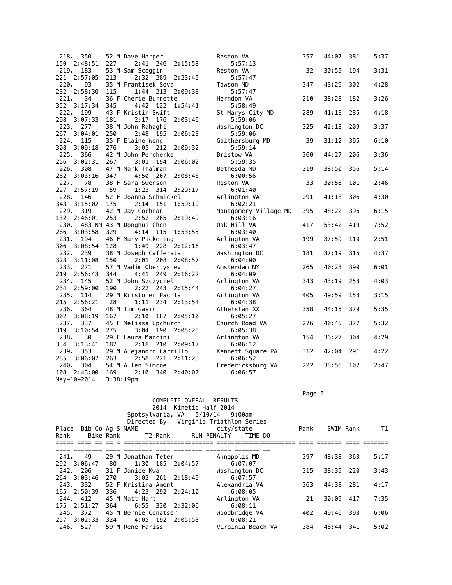| 218.<br>350    |     | 52 M Dave Harper              | Reston VA             | 357 | 44:07 | 381 | 5:37 |
|----------------|-----|-------------------------------|-----------------------|-----|-------|-----|------|
| 150<br>2:48:51 | 227 | 2:41 246<br>2:15:58           | 5:57:13               |     |       |     |      |
| 219.<br>183    |     | 53 M Sam Scoggin              | Reston VA             | 32  | 30:55 | 194 | 3:31 |
| 221<br>2:57:05 | 213 | 2:32 289 2:23:45              | 5:57:47               |     |       |     |      |
| 220.<br>93     |     | 35 M Frantisek Sova           | Towson MD             | 347 | 43:29 | 302 | 4:28 |
| 2:58:30<br>232 | 115 | 1:44 213 2:09:38              | 5:57:47               |     |       |     |      |
| 221.<br>34     |     | 36 F Cherie Burnette          | Herndon VA            | 210 | 38:28 | 182 | 3:26 |
| 352 3:17:34    | 345 | 4:42<br>122 1:54:41           | 5:58:49               |     |       |     |      |
| 222.<br>199    |     | 43 F Kristin Swift            | St Marys City MD      | 289 | 41:13 | 285 | 4:18 |
| 298 3:07:33    | 181 | 2:17<br>176<br>2:03:46        | 5:59:06               |     |       |     |      |
| 223. 277       |     | 38 M John Rahaghi             | Washington DC         | 325 | 42:18 | 209 | 3:37 |
| 267<br>3:04:01 | 250 | 2:48<br>2:06:23<br>195        | 5:59:06               |     |       |     |      |
| 224.<br>115    |     | 35 F Elaine Wong              | Gaithersburg MD       | 39  | 31:12 | 395 | 6:10 |
| 308<br>3:09:18 | 276 | 3:05<br>212 2:09:32           | 5:59:14               |     |       |     |      |
| 225.<br>366    |     | 42 M John Percherke           | Bristow VA            | 360 | 44:27 | 206 | 3:36 |
| 256<br>3:02:31 | 267 | 2:06:02<br>$3:01$ 194         | 5:59:35               |     |       |     |      |
| 226.<br>308    |     | 47 M Mark Thalman             | Bethesda MD           | 219 | 38:50 | 356 | 5:14 |
| 262<br>3:03:16 | 347 | 4:50<br>2:08:48<br>207        | 6:00:56               |     |       |     |      |
| 227.<br>78     |     | 38 F Sara Swenson             | Reston VA             | 33  | 30:56 | 101 | 2:46 |
| 2:57:19<br>227 | 59  | 1:23<br>314<br>2:29:17        | 6:01:40               |     |       |     |      |
| 228.<br>146    |     | 52 F Joanna Schmickel         | Arlington VA          | 291 | 41:18 | 306 | 4:30 |
| 343 3:15:02    | 175 | 1:59:19<br>2:14<br>151        | 6:02:21               |     |       |     |      |
| 229. 319       |     | 42 M Jay Cochran              | Montgomery Village MD | 395 | 48:22 | 396 | 6:15 |
| 132<br>2:46:01 | 253 | 2:52<br>- 265<br>2:19:49      | 6:03:16               |     |       |     |      |
|                |     | 230. 483 NM 43 M Donghui Chen | Oak Hill VA           | 417 | 53:42 | 419 | 7:52 |
| 266<br>3:03:58 | 329 | 4:14<br>115<br>1:53:55        | 6:03:40               |     |       |     |      |
| 231.<br>194    |     | 46 F Mary Pickering           | Arlington VA          | 199 | 37:59 | 110 | 2:51 |
| 306<br>3:08:54 | 128 | 1:49 228 2:12:16              | 6:03:47               |     |       |     |      |
| 232. 239       |     | 38 M Joseph Cafferata         | Washington DC         | 181 | 37:19 | 315 | 4:37 |
| 323<br>3:11:08 | 150 | 2:01 208 2:08:57              | 6:04:00               |     |       |     |      |
| 233.<br>271    |     | 57 M Vadim Obertyshev         | Amsterdam NY          | 265 | 40:23 | 390 | 6:01 |
| 219 2:56:43    | 344 | 4:41 249 2:16:22              | 6:04:09               |     |       |     |      |
| 234.<br>145    |     | 52 M John Szczygiel           | Arlington VA          | 343 | 43:19 | 258 | 4:03 |
| 234 2:59:00    | 190 | 2:22 243 2:15:44              | 6:04:27               |     |       |     |      |
| 235.<br>114    |     | 29 M Kristofer Pachla         | Arlington VA          | 405 | 49:59 | 158 | 3:15 |
| 215<br>2:56:21 | 28  | 1:11 234<br>2:13:54           | 6:04:38               |     |       |     |      |
| 236. 364       |     | 48 M Tim Gavin                | Athelstan XX          | 358 | 44:15 | 379 | 5:35 |
| 302<br>3:08:19 | 167 | 2:10<br>187<br>2:05:10        | 6:05:27               |     |       |     |      |
| 237.<br>337    |     | 45 F Melissa Upchurch         | Church Road VA        | 276 | 40:45 | 377 | 5:32 |
| 319<br>3:10:54 | 275 | 190<br>2:05:25<br>3:04        | 6:05:38               |     |       |     |      |
| 30<br>238.     |     | 29 F Laura Mancini            | Arlington VA          | 154 | 36:27 | 304 | 4:29 |
| 334 3:13:41    | 182 | 2:18 210 2:09:17              | 6:06:12               |     |       |     |      |
| 239.<br>353    |     | 29 M Alejandro Carrillo       | Kennett Square PA     | 312 | 42:04 | 291 | 4:22 |
| 285<br>3:06:07 | 263 | 221<br>2:58<br>2:11:23        | 6:06:52               |     |       |     |      |
| 240.<br>304    |     | 54 M Allen Simcoe             | Fredericksburg VA     | 222 | 38:56 | 102 | 2:47 |
| 108<br>2:43:00 | 169 | 2:10<br>340<br>2:40:07        | 6:06:57               |     |       |     |      |
| May-10-2014    |     | 3:38:19 <sub>pm</sub>         |                       |     |       |     |      |
|                |     |                               |                       |     |       |     |      |

Page 5 - Page 5 - Page 5 - Page 5 - Page 5 - Page 5 - Page 5 - Page 5 - Page 5 - Page 5 - Page 5

|      |                                                                                                                                     |                                     |                                                                   |                                                                                                                                                                            |                        |                                                                                                                                                                                                                                                                             | Rank                         |       |      | T1                                    |
|------|-------------------------------------------------------------------------------------------------------------------------------------|-------------------------------------|-------------------------------------------------------------------|----------------------------------------------------------------------------------------------------------------------------------------------------------------------------|------------------------|-----------------------------------------------------------------------------------------------------------------------------------------------------------------------------------------------------------------------------------------------------------------------------|------------------------------|-------|------|---------------------------------------|
|      |                                                                                                                                     |                                     |                                                                   |                                                                                                                                                                            |                        |                                                                                                                                                                                                                                                                             |                              |       |      |                                       |
|      |                                                                                                                                     |                                     |                                                                   |                                                                                                                                                                            |                        |                                                                                                                                                                                                                                                                             |                              |       |      |                                       |
| 49   |                                                                                                                                     |                                     |                                                                   |                                                                                                                                                                            |                        |                                                                                                                                                                                                                                                                             | 397                          | 48:38 | -363 | 5:17                                  |
|      | - 80                                                                                                                                |                                     |                                                                   |                                                                                                                                                                            |                        |                                                                                                                                                                                                                                                                             |                              |       |      |                                       |
|      |                                                                                                                                     |                                     |                                                                   |                                                                                                                                                                            |                        |                                                                                                                                                                                                                                                                             | 215                          |       |      | 3:43                                  |
|      | 270                                                                                                                                 |                                     |                                                                   |                                                                                                                                                                            |                        |                                                                                                                                                                                                                                                                             |                              |       |      |                                       |
|      |                                                                                                                                     |                                     |                                                                   |                                                                                                                                                                            |                        |                                                                                                                                                                                                                                                                             | 363                          | 44:38 |      | 4:17                                  |
|      | 336                                                                                                                                 |                                     |                                                                   |                                                                                                                                                                            |                        |                                                                                                                                                                                                                                                                             |                              |       |      |                                       |
|      |                                                                                                                                     |                                     |                                                                   |                                                                                                                                                                            |                        |                                                                                                                                                                                                                                                                             | 21                           | 30:09 |      | 7:35                                  |
|      | 364                                                                                                                                 |                                     |                                                                   |                                                                                                                                                                            |                        |                                                                                                                                                                                                                                                                             |                              |       |      |                                       |
|      |                                                                                                                                     |                                     |                                                                   |                                                                                                                                                                            |                        |                                                                                                                                                                                                                                                                             | 402                          | 49:46 | 393  | 6:06                                  |
|      | 324                                                                                                                                 |                                     |                                                                   |                                                                                                                                                                            |                        |                                                                                                                                                                                                                                                                             |                              |       |      |                                       |
|      |                                                                                                                                     |                                     |                                                                   |                                                                                                                                                                            |                        |                                                                                                                                                                                                                                                                             | 384                          | 46:44 | 341  | 5:02                                  |
| 241. | 292 3:06:47<br>242. 206<br>264 3:03:46<br>243. 332<br>165 2:50:39<br>244. 412<br>175 2:51:27<br>245. 372<br>257 3:02:33<br>246. 527 | Place Bib Co Ag S NAME<br>Bike Rank | 31 F Janice Kwa<br>45 M Matt Hart<br>4:05 192<br>59 M Rene Fariss | T2 Rank<br>29 M Jonathan Teter<br>1:30 185 2:04:57<br>$3:02$ 261 2:18:49<br>52 F Kristina Ament<br>4:23 292 2:24:10<br>6:55 320 2:32:06<br>45 M Bernie Conatser<br>2:05:53 | 2014 Kinetic Half 2014 | COMPLETE OVERALL RESULTS<br>Spotsylvania, VA 5/10/14 9:00am<br>Directed By Virginia Triathlon Series<br>city/state<br>RUN PENALTY<br>Annapolis MD<br>6:07:07<br>Washington DC<br>6:07:57<br>Alexandria VA<br>6:08:05<br>Arlington VA<br>6:08:11<br>Woodbridge VA<br>6:08:21 | TIME DO<br>Virginia Beach VA |       |      | SWIM Rank<br>38:39 220<br>-281<br>417 |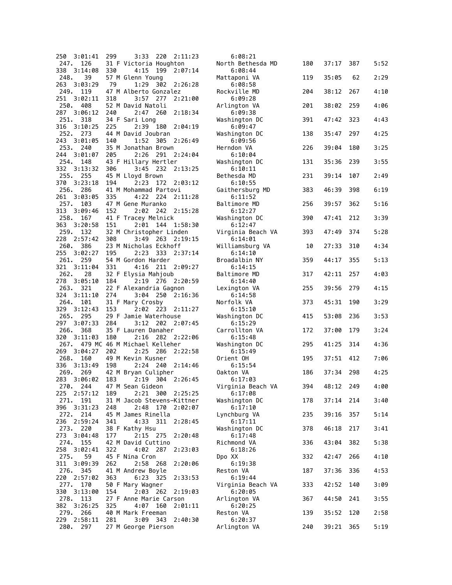| 250 3:01:41                   | 299 | 3:33 220 2:11:23                                    | 6:08:21                      |     |           |     |      |
|-------------------------------|-----|-----------------------------------------------------|------------------------------|-----|-----------|-----|------|
| 126<br>247.                   |     | 31 F Victoria Houghton                              | North Bethesda MD            | 180 | 37:17     | 387 | 5:52 |
| 338<br>3:14:08<br>248.<br>39  | 330 | 4:15 199 2:07:14<br>57 M Glenn Young                | 6:08:44<br>Mattaponi VA      | 119 | 35:05     | 62  | 2:29 |
| 263<br>3:03:29                | 79  | 1:29<br>302 2:26:28                                 | 6:08:58                      |     |           |     |      |
| 249.<br>119<br>3:02:11<br>251 | 318 | 47 M Alberto Gonzalez<br>$3:57$ 277<br>2:21:00      | Rockville MD<br>6:09:28      | 204 | 38:12     | 267 | 4:10 |
| 250.<br>408                   |     | 52 M David Natoli                                   | Arlington VA                 | 201 | 38:02     | 259 | 4:06 |
| 287<br>3:06:12                | 240 | 2:47 260<br>2:18:34                                 | 6:09:38                      |     |           |     |      |
| 251. 318<br>316<br>3:10:25    | 225 | 34 F Sari Long<br>2:39<br>180<br>2:04:19            | Washington DC<br>6:09:47     | 391 | 47:42     | 323 | 4:43 |
| 252. 273                      |     | 44 M David Joubran                                  | Washington DC                | 138 | 35:47     | 297 | 4:25 |
| 243<br>3:01:05<br>253. 240    | 140 | 1:52 305 2:26:49<br>35 M Jonathan Brown             | 6:09:56<br>Herndon VA        | 226 | 39:04     | 180 | 3:25 |
| 244<br>3:01:07                | 205 | 2:26<br>291 2:24:04                                 | 6:10:04                      |     |           |     |      |
| 254.<br>148                   |     | 43 F Hillary Hertler                                | Washington DC                | 131 | 35:36     | 239 | 3:55 |
| 332<br>3:13:32<br>255. 255    | 306 | 232 2:13:25<br>3:45<br>45 M Lloyd Brown             | 6:10:11<br>Bethesda MD       | 231 | 39:14     | 107 | 2:49 |
| 370<br>3:23:18                | 194 | 2:23<br>172<br>2:03:12                              | 6:10:55                      |     |           |     |      |
| 256. 286<br>261<br>3:03:05    | 335 | 41 M Mohammad Partovi<br>4:22 224<br>2:11:28        | Gaithersburg MD<br>6:11:52   | 383 | 46:39     | 398 | 6:19 |
| 257.<br>103                   |     | 47 M Gene Muranko                                   | Baltimore MD                 | 256 | 39:57     | 362 | 5:16 |
| 313<br>3:09:46                | 152 | 2:02 242 2:15:28                                    | 6:12:27                      |     |           |     |      |
| 258.<br>167<br>363<br>3:20:58 | 151 | 41 F Tracey Melnick<br>2:01 144 1:58:30             | Washington DC<br>6:12:47     | 390 | 47:41     | 212 | 3:39 |
| 259.<br>132                   |     | 32 M Christopher Linden                             | Virginia Beach VA            | 393 | 47:49     | 374 | 5:28 |
| 228<br>2:57:42<br>260.<br>386 | 308 | 3:49 263 2:19:15<br>23 M Nicholas Eckhoff           | 6:14:01                      |     | 27:33     | 310 | 4:34 |
| 255<br>3:02:27                | 195 | 2:23<br>333 2:37:14                                 | Williamsburg VA<br>6:14:10   | 10  |           |     |      |
| 261.<br>259                   |     | 54 M Gordon Harder                                  | Broadalbin NY                | 359 | 44:17     | 355 | 5:13 |
| 321<br>3:11:04<br>262.<br>28  | 331 | 4:16 211 2:09:27<br>32 F Elysia Mahjoub             | 6:14:15<br>Baltimore MD      | 317 | 42:11     | 257 | 4:03 |
| 278<br>3:05:10                | 184 | 276 2:20:59<br>2:19                                 | 6:14:40                      |     |           |     |      |
| 263. 321<br>324<br>3:11:10    | 274 | 22 F Alexandria Gagnon<br>3:04<br>250<br>2:16:36    | Lexington VA<br>6:14:58      | 255 | 39:56     | 279 | 4:15 |
| 264.<br>101                   |     | 31 F Mary Crosby                                    | Norfolk VA                   | 373 | 45:31     | 190 | 3:29 |
| 329<br>3:12:43                | 153 | $2:02$ 223<br>2:11:27                               | 6:15:10                      |     |           |     |      |
| 265. 295<br>297<br>3:07:33    | 284 | 29 F Jamie Waterhouse<br>3:12 202 2:07:45           | Washington DC<br>6:15:29     | 415 | 53:08     | 236 | 3:53 |
| 266.<br>368                   |     | 35 F Lauren Danaher                                 | Carrollton VA                | 172 | 37:00     | 179 | 3:24 |
| 320<br>3:11:03<br>267.        | 180 | 282 2:22:06<br>2:16<br>479 MC 46 M Michael Kelleher | 6:15:48<br>Washington DC     | 295 | 41:25     | 314 | 4:36 |
| 269<br>3:04:27                | 202 | 2:25<br>286<br>2:22:58                              | 6:15:49                      |     |           |     |      |
| 268.<br>160<br>336<br>3:13:49 | 198 | 49 M Kevin Kusner<br>2:24<br>240<br>2:14:46         | Orient OH<br>6:15:54         | 195 | 37:51     | 412 | 7:06 |
| 269.<br>269                   |     | 42 M Bryan Culipher                                 | Oakton VA                    | 186 | 37:34     | 298 | 4:25 |
| 283<br>3:06:02                | 183 | 2:19 304 2:26:45                                    | 6:17:03                      |     | 48:12 249 |     |      |
| 270. 244<br>225 2:57:12       | 189 | 47 M Sean Gideon<br>2:21 300 2:25:25                | Virginia Beach VA<br>6:17:08 | 394 |           |     | 4:00 |
| 271.<br>191                   |     | 31 M Jacob Stevens-Kittner                          | Washington DC                | 178 | 37:14     | 214 | 3:40 |
| 3:31:23<br>396<br>272.<br>214 | 248 | 2:48<br>170 2:02:07<br>45 M James Rinella           | 6:17:10<br>Lynchburg VA      | 235 | 39:16     | 357 | 5:14 |
| 236<br>2:59:24                | 341 | 4:33 311 2:28:45                                    | 6:17:11                      |     |           |     |      |
| 273. 220<br>273 3:04:48       | 177 | 38 F Kathy Hsu<br>2:15 275<br>2:20:48               | Washington DC<br>6:17:48     | 378 | 46:18     | 217 | 3:41 |
| 274.<br>155                   |     | 42 M David Cuttino                                  | Richmond VA                  | 336 | 43:04     | 382 | 5:38 |
| 258<br>3:02:41<br>275.        | 322 | 4:02 287<br>2:23:03<br>45 F Nina Cron               | 6:18:26                      |     |           |     |      |
| 59<br>311<br>3:09:39          | 262 | 2:58 268<br>2:20:06                                 | Dpo XX<br>6:19:38            | 332 | 42:47     | 266 | 4:10 |
| 276.<br>345                   |     | 41 M Andrew Boyle                                   | Reston VA                    | 187 | 37:36     | 336 | 4:53 |
| 2:57:02<br>220<br>277.<br>170 | 363 | 6:23 325<br>2:33:53<br>50 F Mary Wagner             | 6:19:44<br>Virginia Beach VA | 333 | 42:52     | 140 | 3:09 |
| 330<br>3:13:00                | 154 | $2:03$ 262<br>2:19:03                               | 6:20:05                      |     |           |     |      |
| 278.<br>113<br>382<br>3:26:25 | 325 | 27 F Anne Marie Carson<br>4:07 160<br>2:01:11       | Arlington VA<br>6:20:25      | 367 | 44:50     | 241 | 3:55 |
| 279.<br>266                   |     | 40 M Mark Freeman                                   | Reston VA                    | 139 | 35:52     | 120 | 2:58 |
| 229 2:58:11<br>280. 297       | 281 | 3:09 343 2:40:30<br>27 M George Pierson             | 6:20:37<br>Arlington VA      | 240 | 39:21 365 |     | 5:19 |
|                               |     |                                                     |                              |     |           |     |      |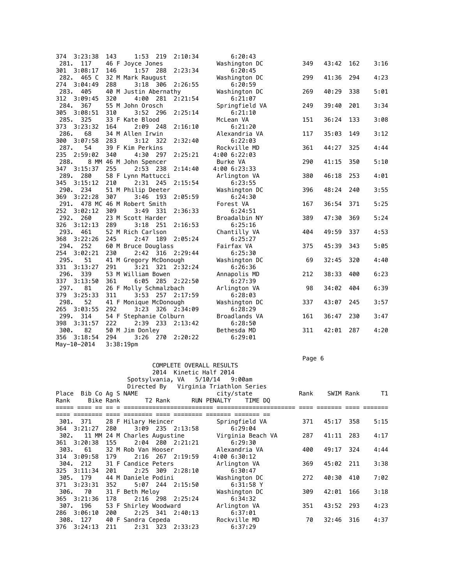| 374 3:23:38<br>143                                   | 1:53 219    | 2:10:34                                                                                                                                                                                                                                                                                      | 6:20:43                                                                                                                                                                                                                                                                                                                                                                                                                                                       |                                                           |            |                                                    |            |
|------------------------------------------------------|-------------|----------------------------------------------------------------------------------------------------------------------------------------------------------------------------------------------------------------------------------------------------------------------------------------------|---------------------------------------------------------------------------------------------------------------------------------------------------------------------------------------------------------------------------------------------------------------------------------------------------------------------------------------------------------------------------------------------------------------------------------------------------------------|-----------------------------------------------------------|------------|----------------------------------------------------|------------|
|                                                      |             |                                                                                                                                                                                                                                                                                              |                                                                                                                                                                                                                                                                                                                                                                                                                                                               | 349                                                       | 43:42      | 162                                                | 3:16       |
| 3:08:17<br>146                                       | 1:57<br>288 | 2:23:34                                                                                                                                                                                                                                                                                      | 6:20:45                                                                                                                                                                                                                                                                                                                                                                                                                                                       |                                                           |            |                                                    |            |
| 282. 465 C                                           |             |                                                                                                                                                                                                                                                                                              | Washington DC                                                                                                                                                                                                                                                                                                                                                                                                                                                 | 299                                                       | 41:36      | 294                                                | 4:23       |
| 274 3:04:49<br>288                                   | $3:18$ 306  |                                                                                                                                                                                                                                                                                              | 6:20:59                                                                                                                                                                                                                                                                                                                                                                                                                                                       |                                                           |            |                                                    |            |
|                                                      |             |                                                                                                                                                                                                                                                                                              | Washington DC                                                                                                                                                                                                                                                                                                                                                                                                                                                 | 269                                                       | 40:29      | 338                                                | 5:01       |
| 312 3:09:45<br>320                                   |             | 2:21:54                                                                                                                                                                                                                                                                                      | 6:21:07                                                                                                                                                                                                                                                                                                                                                                                                                                                       |                                                           |            |                                                    |            |
|                                                      |             |                                                                                                                                                                                                                                                                                              | Springfield VA                                                                                                                                                                                                                                                                                                                                                                                                                                                | 249                                                       | 39:40      | 201                                                | 3:34       |
| 3:08:51<br>310                                       | 3:52 296    | 2:25:14                                                                                                                                                                                                                                                                                      | 6:21:10                                                                                                                                                                                                                                                                                                                                                                                                                                                       |                                                           |            |                                                    |            |
|                                                      |             |                                                                                                                                                                                                                                                                                              | McLean VA                                                                                                                                                                                                                                                                                                                                                                                                                                                     | 151                                                       | 36:24      | 133                                                | 3:08       |
| 164                                                  | 2:09<br>248 | 2:16:10                                                                                                                                                                                                                                                                                      | 6:21:20                                                                                                                                                                                                                                                                                                                                                                                                                                                       |                                                           |            |                                                    |            |
|                                                      |             |                                                                                                                                                                                                                                                                                              | Alexandria VA                                                                                                                                                                                                                                                                                                                                                                                                                                                 | 117                                                       | 35:03      | 149                                                | 3:12       |
| 300 3:07:58<br>283                                   | 3:12<br>322 |                                                                                                                                                                                                                                                                                              | 6:22:03                                                                                                                                                                                                                                                                                                                                                                                                                                                       |                                                           |            |                                                    |            |
|                                                      |             |                                                                                                                                                                                                                                                                                              | Rockville MD                                                                                                                                                                                                                                                                                                                                                                                                                                                  | 361                                                       | 44:27      | 325                                                | 4:44       |
| 2:59:02<br>340                                       |             |                                                                                                                                                                                                                                                                                              | 4:00 6:22:03                                                                                                                                                                                                                                                                                                                                                                                                                                                  |                                                           |            |                                                    |            |
|                                                      |             |                                                                                                                                                                                                                                                                                              | Burke VA                                                                                                                                                                                                                                                                                                                                                                                                                                                      | 290                                                       | 41:15      | 350                                                | 5:10       |
| 347 3:15:37<br>255                                   | 2:53 238    |                                                                                                                                                                                                                                                                                              | 4:00 6:23:33                                                                                                                                                                                                                                                                                                                                                                                                                                                  |                                                           |            |                                                    |            |
|                                                      |             |                                                                                                                                                                                                                                                                                              | Arlington VA                                                                                                                                                                                                                                                                                                                                                                                                                                                  | 380                                                       | 46:18      | 253                                                | 4:01       |
| 345 3:15:12<br>210                                   |             |                                                                                                                                                                                                                                                                                              | 6:23:55                                                                                                                                                                                                                                                                                                                                                                                                                                                       |                                                           |            |                                                    |            |
|                                                      |             |                                                                                                                                                                                                                                                                                              | Washington DC                                                                                                                                                                                                                                                                                                                                                                                                                                                 | 396                                                       | 48:24      | 240                                                | 3:55       |
| 307                                                  | 3:46<br>193 | 2:05:59                                                                                                                                                                                                                                                                                      | 6:24:30                                                                                                                                                                                                                                                                                                                                                                                                                                                       |                                                           |            |                                                    |            |
|                                                      |             |                                                                                                                                                                                                                                                                                              | Forest VA                                                                                                                                                                                                                                                                                                                                                                                                                                                     | 167                                                       | 36:54      | 371                                                | 5:25       |
| 252 3:02:12<br>309                                   | 3:49<br>331 |                                                                                                                                                                                                                                                                                              | 6:24:51                                                                                                                                                                                                                                                                                                                                                                                                                                                       |                                                           |            |                                                    |            |
|                                                      |             |                                                                                                                                                                                                                                                                                              | Broadalbin NY                                                                                                                                                                                                                                                                                                                                                                                                                                                 | 389                                                       | 47:30      | 369                                                | 5:24       |
| 3:12:13<br>289                                       | $3:18$ 251  |                                                                                                                                                                                                                                                                                              | 6:25:16                                                                                                                                                                                                                                                                                                                                                                                                                                                       |                                                           |            |                                                    |            |
|                                                      |             |                                                                                                                                                                                                                                                                                              | Chantilly VA                                                                                                                                                                                                                                                                                                                                                                                                                                                  | 404                                                       |            | 337                                                | 4:53       |
| 368 3:22:26<br>245                                   | 2:47<br>189 |                                                                                                                                                                                                                                                                                              | 6:25:27                                                                                                                                                                                                                                                                                                                                                                                                                                                       |                                                           |            |                                                    |            |
|                                                      |             |                                                                                                                                                                                                                                                                                              | Fairfax VA                                                                                                                                                                                                                                                                                                                                                                                                                                                    | 375                                                       |            | 343                                                | 5:05       |
| 230                                                  |             |                                                                                                                                                                                                                                                                                              | 6:25:30                                                                                                                                                                                                                                                                                                                                                                                                                                                       |                                                           |            |                                                    |            |
|                                                      |             |                                                                                                                                                                                                                                                                                              | Washington DC                                                                                                                                                                                                                                                                                                                                                                                                                                                 | 69                                                        | 32:45      | 320                                                | 4:40       |
| 331 3:13:27<br>291                                   |             |                                                                                                                                                                                                                                                                                              | 6:26:36                                                                                                                                                                                                                                                                                                                                                                                                                                                       |                                                           |            |                                                    |            |
|                                                      |             |                                                                                                                                                                                                                                                                                              |                                                                                                                                                                                                                                                                                                                                                                                                                                                               |                                                           |            |                                                    | 6:23       |
| 361                                                  | 6:05        |                                                                                                                                                                                                                                                                                              | 6:27:39                                                                                                                                                                                                                                                                                                                                                                                                                                                       |                                                           |            |                                                    |            |
|                                                      |             |                                                                                                                                                                                                                                                                                              | Arlington VA                                                                                                                                                                                                                                                                                                                                                                                                                                                  | 98                                                        |            | 404                                                | 6:39       |
| 311                                                  |             |                                                                                                                                                                                                                                                                                              |                                                                                                                                                                                                                                                                                                                                                                                                                                                               |                                                           |            |                                                    |            |
|                                                      |             |                                                                                                                                                                                                                                                                                              | Washington DC                                                                                                                                                                                                                                                                                                                                                                                                                                                 | 337                                                       |            | 245                                                | 3:57       |
| 292                                                  |             |                                                                                                                                                                                                                                                                                              | 6:28:29                                                                                                                                                                                                                                                                                                                                                                                                                                                       |                                                           |            |                                                    |            |
|                                                      |             |                                                                                                                                                                                                                                                                                              |                                                                                                                                                                                                                                                                                                                                                                                                                                                               |                                                           |            |                                                    | 3:47       |
| 222                                                  |             | 2:13:42                                                                                                                                                                                                                                                                                      | 6:28:50                                                                                                                                                                                                                                                                                                                                                                                                                                                       |                                                           |            |                                                    |            |
|                                                      |             |                                                                                                                                                                                                                                                                                              | Bethesda MD                                                                                                                                                                                                                                                                                                                                                                                                                                                   | 311                                                       | 42:01      | 287                                                | 4:20       |
| 3:18:54                                              |             |                                                                                                                                                                                                                                                                                              | 6:29:01                                                                                                                                                                                                                                                                                                                                                                                                                                                       |                                                           |            |                                                    |            |
|                                                      |             |                                                                                                                                                                                                                                                                                              |                                                                                                                                                                                                                                                                                                                                                                                                                                                               |                                                           |            |                                                    |            |
| 373 3:23:32<br>3:22:28<br>254 3:02:21<br>337 3:13:50 | 294         | 46 F Joyce Jones<br>32 M Mark Raugust<br>55 M John Orosch<br>33 F Kate Blood<br>34 M Allen Irwin<br>39 F Kim Perkins<br>8 MM 46 M John Spencer<br>291. 478 MC 46 M Robert Smith<br>23 M Scott Harder<br>52 M Rich Carlson<br>3:23<br>50 M Jim Donley<br>3:26<br>270<br>3:38:19 <sub>pm</sub> | 2:26:55<br>40 M Justin Abernathy<br>4:00 281<br>2:32:40<br>4:30 297 2:25:21<br>2:14:40<br>58 F Lynn Mattucci<br>2:31 245 2:15:54<br>51 M Philip Deeter<br>2:36:33<br>2:16:53<br>2:05:24<br>60 M Bruce Douglass<br>2:42 316 2:29:44<br>41 M Gregory McDonough<br>3:21 321 2:32:24<br>53 M William Bowen<br>285 2:22:50<br>26 F Molly Schmalzbach<br>3:53 257 2:17:59<br>41 F Monique McDonough<br>326 2:34:09<br>54 F Stephanie Colburn<br>2:39 233<br>2:20:22 | Washington DC<br>Annapolis MD<br>6:28:03<br>Broadlands VA | 212<br>161 | 49:59<br>45:39<br>38:33<br>34:02<br>43:07<br>36:47 | 400<br>230 |

Page 6 - Page 6 - Page 6 - Page 6 - Page 6 - Page 6 - Page 6 - Page 6 - Page 6 - Page 6 - Page 6

|             |     |                                                  |                                     |                 |                                                                                                                                                                                                                                                                                                                                     |                                                           |                                                                                                                                                                                                                                                                                                                                              |       |                                             | T1                                                                     |
|-------------|-----|--------------------------------------------------|-------------------------------------|-----------------|-------------------------------------------------------------------------------------------------------------------------------------------------------------------------------------------------------------------------------------------------------------------------------------------------------------------------------------|-----------------------------------------------------------|----------------------------------------------------------------------------------------------------------------------------------------------------------------------------------------------------------------------------------------------------------------------------------------------------------------------------------------------|-------|---------------------------------------------|------------------------------------------------------------------------|
|             |     |                                                  |                                     |                 |                                                                                                                                                                                                                                                                                                                                     |                                                           |                                                                                                                                                                                                                                                                                                                                              |       |                                             |                                                                        |
|             |     |                                                  |                                     |                 |                                                                                                                                                                                                                                                                                                                                     |                                                           |                                                                                                                                                                                                                                                                                                                                              |       |                                             |                                                                        |
|             |     |                                                  |                                     |                 |                                                                                                                                                                                                                                                                                                                                     |                                                           |                                                                                                                                                                                                                                                                                                                                              |       |                                             |                                                                        |
| 301. 371    |     |                                                  |                                     |                 |                                                                                                                                                                                                                                                                                                                                     |                                                           | 371                                                                                                                                                                                                                                                                                                                                          |       |                                             | 5:15                                                                   |
| 364 3:21:27 | 280 |                                                  |                                     |                 |                                                                                                                                                                                                                                                                                                                                     |                                                           |                                                                                                                                                                                                                                                                                                                                              |       |                                             |                                                                        |
|             |     |                                                  |                                     |                 |                                                                                                                                                                                                                                                                                                                                     |                                                           | 287                                                                                                                                                                                                                                                                                                                                          | 41:11 | 283                                         | 4:17                                                                   |
| 361 3:20:38 |     |                                                  |                                     |                 |                                                                                                                                                                                                                                                                                                                                     |                                                           |                                                                                                                                                                                                                                                                                                                                              |       |                                             |                                                                        |
| 303. 61     |     |                                                  |                                     |                 |                                                                                                                                                                                                                                                                                                                                     |                                                           | 400                                                                                                                                                                                                                                                                                                                                          |       |                                             | 4:44                                                                   |
|             |     |                                                  |                                     |                 |                                                                                                                                                                                                                                                                                                                                     |                                                           |                                                                                                                                                                                                                                                                                                                                              |       |                                             |                                                                        |
| 304. 212    |     |                                                  |                                     |                 |                                                                                                                                                                                                                                                                                                                                     |                                                           | 369                                                                                                                                                                                                                                                                                                                                          |       |                                             | 3:38                                                                   |
|             |     |                                                  |                                     |                 |                                                                                                                                                                                                                                                                                                                                     |                                                           |                                                                                                                                                                                                                                                                                                                                              |       |                                             |                                                                        |
| 305.179     |     |                                                  |                                     |                 |                                                                                                                                                                                                                                                                                                                                     |                                                           | 272                                                                                                                                                                                                                                                                                                                                          |       | 410                                         | 7:02                                                                   |
| 371 3:23:31 |     |                                                  |                                     |                 |                                                                                                                                                                                                                                                                                                                                     |                                                           |                                                                                                                                                                                                                                                                                                                                              |       |                                             |                                                                        |
| 306. 70     |     |                                                  |                                     |                 |                                                                                                                                                                                                                                                                                                                                     |                                                           | 309                                                                                                                                                                                                                                                                                                                                          |       | 166                                         | 3:18                                                                   |
| 365 3:21:36 | 178 |                                                  |                                     |                 |                                                                                                                                                                                                                                                                                                                                     |                                                           |                                                                                                                                                                                                                                                                                                                                              |       |                                             |                                                                        |
| 307. 196    |     |                                                  |                                     |                 |                                                                                                                                                                                                                                                                                                                                     |                                                           | 351                                                                                                                                                                                                                                                                                                                                          |       |                                             | 4:23                                                                   |
| 286 3:06:10 | 200 |                                                  |                                     |                 |                                                                                                                                                                                                                                                                                                                                     |                                                           |                                                                                                                                                                                                                                                                                                                                              |       |                                             |                                                                        |
| 308. 127    |     |                                                  |                                     |                 |                                                                                                                                                                                                                                                                                                                                     |                                                           | 70                                                                                                                                                                                                                                                                                                                                           | 32:46 | 316                                         | 4:37                                                                   |
| 376 3:24:13 | 211 |                                                  |                                     |                 |                                                                                                                                                                                                                                                                                                                                     |                                                           |                                                                                                                                                                                                                                                                                                                                              |       |                                             |                                                                        |
|             |     | 155<br>314 3:09:58 179<br>325 3:11:34 201<br>352 | Place Bib Co Ag S NAME<br>Bike Rank | 31 F Beth Meloy | T2 Rank<br>28 F Hilary Heincer<br>3:09 235 2:13:58<br>302. 11 MM 24 M Charles Augustine<br>32 M Rob Van Hooser<br>2:16 267 2:19:59<br>31 F Candice Peters<br>2:25 309 2:28:10<br>44 M Daniele Podini<br>5:07 244 2:15:50<br>2:16 298 2:25:24<br>53 F Shirley Woodward<br>2:25 341 2:40:13<br>40 F Sandra Cepeda<br>2:31 323 2:33:23 | 2014 Kinetic Half 2014<br>RUN PENALTY<br>2:04 280 2:21:21 | Spotsylvania, VA 5/10/14 9:00am<br>Directed By Virginia Triathlon Series<br>city/state<br>TIME DO<br>Springfield VA<br>6:29:04<br>Virginia Beach VA<br>6:29:30<br>Alexandria VA<br>4:00 6:30:12<br>Arlington VA<br>6:30:47<br>Washington DC<br>$6:31:58$ Y<br>Washington DC<br>6:34:32<br>Arlington VA<br>6:37:01<br>Rockville MD<br>6:37:29 | Rank  | ---------------------- ---- ------<br>42:01 | SWIM Rank<br>45:17 358<br>49:17 324<br>45:02 211<br>40:30<br>43:52 293 |

COMPLETE OVERALL RESULTS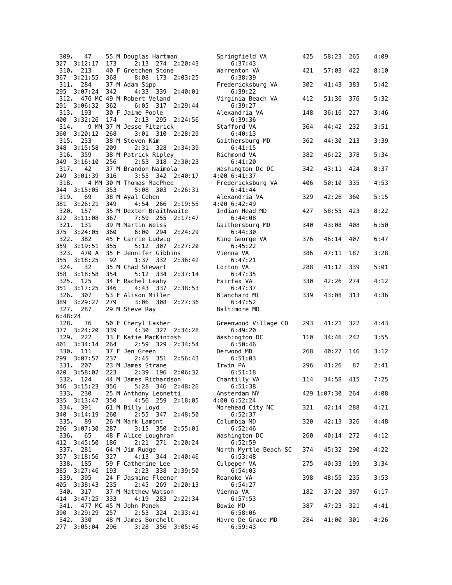| 309.            | 47                      |     | 55 M Douglas Hartman                              | Springfield VA                   | 425 | 58:23           | 265 | 4:09 |
|-----------------|-------------------------|-----|---------------------------------------------------|----------------------------------|-----|-----------------|-----|------|
| 327             | 3:12:17                 | 173 | 2:13 274 2:20:43                                  | 6:37:43                          |     |                 |     |      |
| 310.            | 213<br>367 3:21:55      | 368 | 40 F Gretchen Stone<br>8:08                       | Warrenton VA                     | 421 | 57:03           | 422 | 8:10 |
|                 | 311. 284                |     | 173<br>2:03:25<br>37 M Adam Sipp                  | 6:38:39<br>Fredericksburg VA     | 302 | 41:43           | 383 | 5:42 |
| 295             | 3:07:24                 | 342 | 4:33 339<br>2:40:01                               | 6:39:22                          |     |                 |     |      |
| 312.            |                         |     | 476 MC 49 M Robert Veland                         | Virginia Beach VA                | 412 | 51:36           | 376 | 5:32 |
|                 | 291 3:06:32             | 362 | $6:05$ 317<br>2:29:44                             | 6:39:27                          |     |                 |     |      |
|                 | 313. 193                |     | 30 F Jaime Poole                                  | Alexandria VA                    | 148 | 36:16           | 227 | 3:46 |
| 400<br>314.     | 3:32:26                 | 174 | 2:13 295<br>2:24:56<br>9 MM 37 M Jesse Pitzrick   | 6:39:36<br>Stafford VA           | 364 | 44:42           | 232 | 3:51 |
| 360             | 3:20:12                 | 268 | $3:01$ 310<br>2:28:29                             | 6:40:13                          |     |                 |     |      |
|                 | 315. 253                |     | 38 M Steven Kim                                   | Gaithersburg MD                  | 362 | 44:30           | 213 | 3:39 |
| 348             | 3:15:58                 | 209 | 2:31 328<br>2:34:39                               | 6:41:15                          |     |                 |     |      |
|                 | 316. 359                |     | 38 M Patrick Ripley                               | Richmond VA                      | 382 | 46:22           | 378 | 5:34 |
| 349             | 3:16:10                 | 256 | 2:53 318 2:30:23                                  | 6:41:20                          |     |                 |     |      |
| 317.<br>249     | 42<br>3:01:39           | 316 | 37 M Brandon Naimola<br>3:55 342 2:40:17          | Washington Dc DC<br>4:00 6:41:37 | 342 | 43:11           | 424 | 8:37 |
| 318.            |                         |     | 4 MM 30 M Thomas MacPhee                          | Fredericksburg VA                | 406 | 50:10           | 335 | 4:53 |
|                 | 344 3:15:05             | 353 | 5:08 303 2:26:31                                  | 6:41:44                          |     |                 |     |      |
| 319.            | 69                      |     | 38 M Ayal Cohen                                   | Alexandria VA                    | 329 | 42:26           | 360 | 5:15 |
| 381             | 3:26:21                 | 349 | 4:54 266<br>2:19:55                               | 4:00 6:42:49                     |     |                 |     |      |
| 322             | 320. 157<br>3:11:08     |     | 35 M Dexter Braithwaite<br>7:59<br>255<br>2:17:47 | Indian Head MD<br>6:44:08        | 427 | 58:55           | 423 | 8:22 |
|                 | 321. 131                | 367 | 39 M Martin Weiss                                 | Gaithersburg MD                  | 340 | 43:08           | 408 | 6:50 |
| 375             | 3:24:05                 | 360 | 6:00 294<br>2:24:29                               | 6:44:30                          |     |                 |     |      |
|                 | 322. 382                |     | 45 F Carrie Ludwig                                | King George VA                   | 376 | 46:14           | 407 | 6:47 |
| 359             | 3:19:51                 | 355 | 5:12 307 2:27:20                                  | 6:45:22                          |     |                 |     |      |
|                 | 323. 470 A              |     | 35 F Jennifer Gibbins                             | Vienna VA                        | 386 | 47:11           | 187 | 3:28 |
| 324.            | 355 3:18:25<br>32       | 92  | 1:37 332<br>2:36:42<br>35 M Chad Stewart          | 6:47:21<br>Lorton VA             | 288 | 41:12           | 339 | 5:01 |
|                 | 358 3:18:58             | 354 | 5:12 334<br>2:37:14                               | 6:47:35                          |     |                 |     |      |
|                 | 325. 125                |     | 34 F Rachel Leahy                                 | Fairfax VA                       | 330 | 42:26           | 274 | 4:12 |
| 351             | 3:17:25                 | 346 | 4:43 337<br>2:38:53                               | 6:47:37                          |     |                 |     |      |
| 326.            | 307                     |     | 53 F Alison Miller                                | Blanchard MI                     | 339 | 43:08           | 313 | 4:36 |
| 389             | 3:29:27                 | 279 | 3:06 308<br>2:27:36                               | 6:47:52                          |     |                 |     |      |
| 327.<br>6:48:24 | 287                     |     | 29 M Steve Ray                                    | Baltimore MD                     |     |                 |     |      |
| 328.            | 76                      |     | 50 F Cheryl Lasher                                | Greenwood Village CO             | 293 | 41:21           | 322 | 4:43 |
|                 | 377 3:24:20             | 339 | 4:30 327 2:34:28                                  | 6:49:20                          |     |                 |     |      |
| 329.            | 222                     |     | 33 F Katie MacKintosh                             | Washington DC                    | 110 | 34:46           | 242 | 3:55 |
| 401             | 3:34:14                 | 264 | 2:59 329<br>2:34:54                               | 6:50:46                          |     |                 |     |      |
| 330.<br>299     | 111<br>3:07:57          | 237 | 37 F Jen Green<br>2:45 351<br>2:56:43             | Derwood MD<br>6:51:03            | 268 | 40:27           | 146 | 3:12 |
| 331.            | 207                     |     | 23 M James Strane                                 | Irwin PA                         | 296 | 41:26           | 87  | 2:41 |
| 420             | 3:58:02                 | 223 | 2:39<br>196<br>2:06:32                            | 6:51:18                          |     |                 |     |      |
| 332.            | 124                     |     | 44 M James Richardson                             | Chantilly VA                     | 114 | 34:58           | 415 | 7:25 |
|                 | 346 3:15:23             | 356 | 5:28 346 2:48:26                                  | 6:51:38                          |     |                 |     |      |
|                 | 333. 230<br>3:13:47     |     | 25 M Anthony Leonetti<br>4:56 259 2:18:05         | Amsterdam NY                     |     | 429 1:07:30 264 |     | 4:08 |
| 335             | 334. 391                | 350 | 61 M Billy Loyd                                   | 4:00 6:52:24<br>Morehead City NC | 321 | 42:14           | 288 | 4:21 |
| 340             | 3:14:19                 | 260 | 2:55 347<br>2:48:50                               | 6:52:37                          |     |                 |     |      |
| 335.            | 89                      |     | 26 M Mark Lamont                                  | Columbia MD                      | 320 | 42:13           | 326 | 4:48 |
|                 | 296 3:07:30             | 287 | 3:15 350 2:55:01                                  | 6:52:46                          |     |                 |     |      |
| 336.            | 65                      |     | 48 F Alice Loughran                               | Washington DC                    | 260 | 40:14           | 272 | 4:12 |
|                 | 412 3:45:50<br>337. 281 | 186 | 2:21 271 2:20:24<br>64 M Jim Rudge                | 6:52:59<br>North Myrtle Beach SC | 374 | 45:32           | 290 | 4:22 |
|                 | 357 3:18:56             | 327 | 4:13 344<br>2:40:46                               | 6:53:48                          |     |                 |     |      |
|                 | 338. 185                |     | 59 F Catherine Lee                                | Culpeper VA                      | 275 | 40:33           | 199 | 3:34 |
| 385             | 3:27:46                 | 193 | 2:23<br>338 2:39:50                               | 6:54:03                          |     |                 |     |      |
| 339.            | 395                     |     | 24 F Jasmine Fleenor                              | Roanoke VA                       | 398 | 48:55           | 235 | 3:53 |
| 405             | 3:38:43                 | 235 | 2:45<br>269 2:20:13<br>37 M Matthew Watson        | 6:54:27                          |     | 37:20           | 397 | 6:17 |
|                 | 340. 317<br>414 3:47:25 | 333 | 4:19 283 2:22:34                                  | Vienna VA<br>6:57:53             | 182 |                 |     |      |
| 341.            |                         |     | 477 MC 45 M John Panek                            | Bowie MD                         | 387 | 47:23           | 321 | 4:41 |
| 390             | 3:29:29                 | 257 | 2:53<br>324 2:33:41                               | 6:58:06                          |     |                 |     |      |
|                 | 342. 330                |     | 48 M James Borchelt                               | Havre De Grace MD                | 284 | 41:00           | 301 | 4:26 |
|                 | 277 3:05:04             | 296 | 3:28<br>356 3:05:46                               | 6:59:43                          |     |                 |     |      |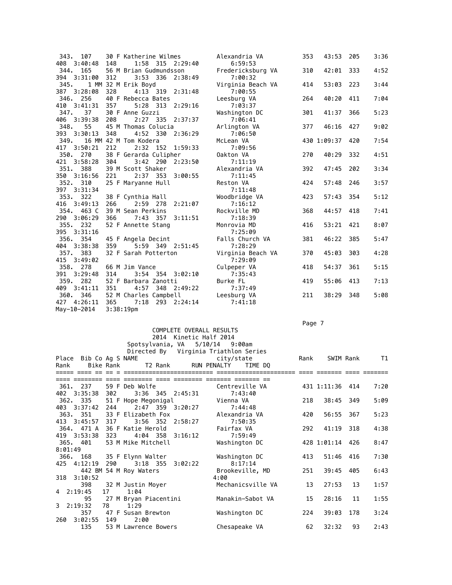| 343.<br>107        |     | 30 F Katherine Wilmes  | Alexandria VA     | 353 | 43:53       | 205 | 3:36 |
|--------------------|-----|------------------------|-------------------|-----|-------------|-----|------|
| 408 3:40:48        | 148 | 1:58 315 2:29:40       | 6:59:53           |     |             |     |      |
| 344.<br>165        |     | 56 M Brian Gudmundsson | Fredericksburg VA | 310 | 42:01       | 333 | 4:52 |
| 394 3:31:00        | 312 | 3:53 336<br>2:38:49    | 7:00:32           |     |             |     |      |
| 345.               |     | 1 MM 32 M Erik Boyd    | Virginia Beach VA | 414 | 53:03       | 223 | 3:44 |
| 387<br>3:28:08     | 328 | 4:13 319 2:31:48       | 7:00:55           |     |             |     |      |
| 346. 256           |     | 40 F Rebecca Bates     | Leesburg VA       | 264 | 40:20       | 411 | 7:04 |
| 410 3:41:31        | 357 | 5:28 313 2:29:16       | 7:03:37           |     |             |     |      |
| 37<br>347.         |     | 30 F Anne Guzzi        | Washington DC     | 301 | 41:37       | 366 | 5:23 |
| 3:39:38<br>406     | 208 | 2:27 335<br>2:37:37    | 7:06:41           |     |             |     |      |
| 348.<br>55         |     | 45 M Thomas Colucia    | Arlington VA      | 377 | 46:16       | 427 | 9:02 |
| 393 3:30:13        | 348 | 4:52 330<br>2:36:29    | 7:06:50           |     |             |     |      |
| 349.               |     | 16 MM 42 M Tom Kodera  | McLean VA         |     | 430 1:09:37 | 420 | 7:54 |
| 3:50:21<br>417     | 212 | 2:32 152<br>1:59:33    | 7:09:56           |     |             |     |      |
| 350. 270           |     | 38 F Gerarda Culipher  | Oakton VA         | 270 | 40:29       | 332 | 4:51 |
| 3:58:28<br>421     | 304 | $3:42$ 290<br>2:23:50  | 7:11:19           |     |             |     |      |
| 351.<br>388        |     | 39 M Scott Shaker      | Alexandria VA     | 392 | 47:45       | 202 | 3:34 |
| 350<br>3:16:56     | 221 | 2:37 353 3:00:55       | 7:11:45           |     |             |     |      |
| 352.<br>310        |     | 25 F Maryanne Hull     | Reston VA         | 424 | 57:48       | 246 | 3:57 |
| 397 3:31:34        |     |                        | 7:11:48           |     |             |     |      |
| 353. 322           |     | 38 F Cynthia Hall      | Woodbridge VA     | 423 | 57:43       | 354 | 5:12 |
| 416<br>3:49:13     | 266 | 2:59 278 2:21:07       | 7:16:12           |     |             |     |      |
| 354.<br>463 C      |     | 39 M Sean Perkins      | Rockville MD      | 368 | 44:57       | 418 | 7:41 |
| 290<br>3:06:29     | 366 | 7:43 357 3:11:51       | 7:18:39           |     |             |     |      |
| 355.<br>232        |     | 52 F Annette Stang     | Monrovia MD       | 416 | 53:21       | 421 | 8:07 |
| 395<br>3:31:16     |     |                        | 7:25:09           |     |             |     |      |
| 354<br>356.        |     | 45 F Angela Decint     | Falls Church VA   | 381 | 46:22       | 385 | 5:47 |
| 404<br>3:38:38     | 359 | 5:59 349 2:51:45       | 7:28:29           |     |             |     |      |
| 383<br>357.        |     | 32 F Sarah Potterton   | Virginia Beach VA | 370 | 45:03       | 303 | 4:28 |
| 415<br>3:49:02     |     |                        | 7:29:09           |     |             |     |      |
| 358.<br>278        |     | 66 M Jim Vance         | Culpeper VA       | 418 | 54:37       | 361 | 5:15 |
| 391<br>3:29:48     | 314 | 3:54 354 3:02:10       | 7:35:43           |     |             |     |      |
| 282<br>359.        |     | 52 F Barbara Zanotti   | Burke FL          | 419 | 55:06       | 413 | 7:13 |
| 409<br>3:41:11     | 351 | 348 2:49:22<br>4:57    | 7:37:49           |     |             |     |      |
| 360.<br>346        |     | 52 M Charles Campbell  | Leesburg VA       | 211 | 38:29 348   |     | 5:08 |
| 427<br>4:26:11 365 |     | 7:18<br>293 2:24:14    | 7:41:18           |     |             |     |      |
| May-10-2014        |     | 3:38:19 <sub>pm</sub>  |                   |     |             |     |      |

## Page 7 - Page 7 - Page 7 - Page 7 - Page 7 - Page 7 - Page 7 - Page 7 - Page 7 - Page 7 - Page 7 - Page 7

## COMPLETE OVERALL RESULTS 2014 Kinetic Half 2014 Spotsylvania, VA 5/10/14 9:00am

|         |                        |      | Directed By Virginia Triathlon Series |            |                   |      |                 |           |      |
|---------|------------------------|------|---------------------------------------|------------|-------------------|------|-----------------|-----------|------|
|         | Place Bib Co Ag S NAME |      |                                       | city/state |                   | Rank |                 | SWIM Rank | T1   |
| Rank    |                        |      | Bike Rank T2 Rank RUN PENALTY TIME DQ |            |                   |      |                 |           |      |
|         |                        |      |                                       |            |                   |      |                 |           |      |
|         | ==== ========          |      |                                       |            |                   |      |                 |           |      |
|         | 361. 237               |      | 59 F Deb Wolfe                        |            | Centreville VA    |      | 431 1:11:36 414 |           | 7:20 |
|         | 402 3:35:38            | 302  | 3:36 345 2:45:31                      |            | 7:43:40           |      |                 |           |      |
|         | 362, 335               |      | 51 F Hope Megonigal                   | Vienna VA  |                   | 218  | 38:45 349       |           | 5:09 |
|         | 403 3:37:42            | 244  | 2:47 359 3:20:27                      |            | 7:44:48           |      |                 |           |      |
|         | 363. 351               |      | 33 F Elizabeth Fox                    |            | Alexandria VA     | 420  | 56:55 367       |           | 5:23 |
|         | 413 3:45:57            | 317  | 3:56 352 2:58:27                      |            | 7:50:35           |      |                 |           |      |
|         | 364. 471 A             |      | 36 F Katie Herold                     | Fairfax VA |                   | 292  | 41:19 318       |           | 4:38 |
|         | 419 3:53:38            | 323  | 4:04 358 3:16:12                      |            | 7:59:49           |      |                 |           |      |
|         | 365.401                |      | 53 M Mike Mitchell                    |            | Washington DC     |      | 428 1:01:14 426 |           | 8:47 |
| 8:01:49 |                        |      |                                       |            |                   |      |                 |           |      |
|         |                        |      | 366. 168 35 F Elynn Walter            |            | Washington DC     | 413  | 51:46           | 416       | 7:30 |
|         | 425 4:12:19            | 290  | $3:18$ $355$ $3:02:22$                |            | 8:17:14           |      |                 |           |      |
|         |                        |      | 442 BM 54 M Roy Waters                |            | Brookeville, MD   | 251  | 39:45           | 405       | 6:43 |
|         | 318 3:10:52            |      |                                       | 4:00       |                   |      |                 |           |      |
|         | 398                    |      | 32 M Justin Moyer                     |            | Mechanicsville VA | 13   | 27:53           | 13        | 1:57 |
|         | 4 2:19:45              | 17   | 1:04                                  |            |                   |      |                 |           |      |
|         | 95                     |      | 27 M Bryan Piacentini                 |            | Manakin-Sabot VA  | 15   | 28:16           | 11        | 1:55 |
|         | $3 \quad 2:19:32$      | 78 — | 1:29                                  |            |                   |      |                 |           |      |
|         | 357                    |      | 47 F Susan Brewton                    |            | Washington DC     | 224  | 39:03           | 178       | 3:24 |
| 260     | 3:02:55 149            |      | 2:00                                  |            |                   |      |                 |           |      |
|         | 135                    |      | 53 M Lawrence Bowers                  |            | Chesapeake VA     | 62   | 32:32           | 93        | 2:43 |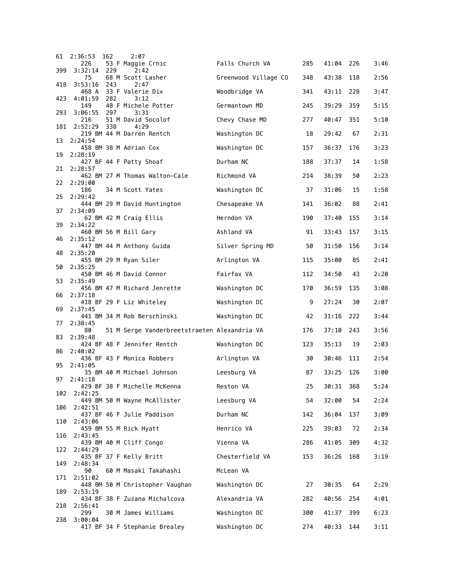| 61  | 2:36:53          | 162 | 2:07                                         |                      |     |           |     |      |
|-----|------------------|-----|----------------------------------------------|----------------------|-----|-----------|-----|------|
| 399 | 226<br>3:32:14   | 229 | 53 F Maggie Crnic<br>2:42                    | Falls Church VA      | 285 | 41:04     | 226 | 3:46 |
| 418 | 75<br>3:53:16    | 243 | 68 M Scott Lasher<br>2:47                    | Greenwood Village CO | 348 | 43:38     | 118 | 2:56 |
| 423 | 468 A<br>4:01:59 | 282 | 33 F Valerie Dix<br>3:12                     | Woodbridge VA        | 341 | 43:11     | 228 | 3:47 |
|     | 149              |     | 48 F Michele Potter                          | Germantown MD        | 245 | 39:29     | 359 | 5:15 |
| 293 | 3:06:55<br>216   | 297 | 3:31<br>51 M David Socolof                   | Chevy Chase MD       | 277 | 40:47     | 351 | 5:10 |
| 181 | 2:52:29          | 338 | 4:29<br>219 BM 44 M Darren Rentch            | Washington DC        | 18  | 29:42     | 67  | 2:31 |
| 13  | 2:24:54          |     | 458 BM 38 M Adrian Cox                       | Washington DC        | 157 | 36:37     | 176 | 3:23 |
| 19  | 2:28:19          |     | 427 BF 44 F Patty Shoaf                      | Durham NC            | 188 | 37:37     | 14  | 1:58 |
| 21  | 2:28:57          |     | 462 BM 27 M Thomas Walton-Cale               | Richmond VA          | 214 | 38:39     | 50  | 2:23 |
| 22  | 2:29:00<br>186   |     | 34 M Scott Yates                             | Washington DC        | 37  | 31:06     | 15  | 1:58 |
| 25  | 2:29:42          |     | 444 BM 29 M David Huntington                 | Chesapeake VA        | 141 | 36:02     | 88  | 2:41 |
| 37  | 2:34:09          |     | 62 BM 42 M Craig Ellis                       | Herndon VA           | 190 | 37:40     | 155 | 3:14 |
| 39  | 2:34:22          |     | 460 BM 56 M Bill Gary                        | Ashland VA           | 91  | 33:43     | 157 | 3:15 |
| 46  | 2:35:12          |     | 447 BM 44 M Anthony Guida                    | Silver Spring MD     |     |           |     |      |
| 48  | 2:35:20          |     |                                              |                      | 50  | 31:50     | 156 | 3:14 |
| 50  | 2:35:25          |     | 455 BM 29 M Ryan Siler                       | Arlington VA         | 115 | 35:00     | 85  | 2:41 |
| 53  | 2:35:49          |     | 450 BM 46 M David Connor                     | Fairfax VA           | 112 | 34:50     | 43  | 2:20 |
| 66  | 2:37:18          |     | 456 BM 47 M Richard Jenrette                 | Washington DC        | 170 | 36:59     | 135 | 3:08 |
| 69  | 2:37:45          |     | 418 BF 29 F Liz Whiteley                     | Washington DC        | 9   | 27:24     | 30  | 2:07 |
| 77  | 2:38:45          |     | 441 BM 34 M Rob Berschinski                  | Washington DC        | 42  | 31:16     | 222 | 3:44 |
| 83  | 80<br>2:39:48    |     | 51 M Serge Vanderbreetstraeten Alexandria VA |                      | 176 | 37:10     | 243 | 3:56 |
| 86  | 2:40:02          |     | 424 BF 48 F Jennifer Rentch                  | Washington DC        | 123 | 35:13     | 19  | 2:03 |
| 95  | 2:41:05          |     | 436 BF 43 F Monica Robbers                   | Arlington VA         | 30  | 30:46     | 111 | 2:54 |
| 97  | 2:41:18          |     | 35 BM 40 M Michael Johnson                   | Leesburg VA          | 87  | 33:25     | 126 | 3:00 |
|     |                  |     | 429 BF 38 F Michelle McKenna                 | Reston VA            | 25  | 30:31 368 |     | 5:24 |
| 102 | 2:42:25          |     | 449 BM 50 M Wayne McAllister                 | Leesburg VA          | 54  | 32:00     | 54  | 2:24 |
| 106 | 2:42:51          |     | 437 BF 46 F Julie Paddison                   | Durham NC            | 142 | 36:04     | 137 | 3:09 |
| 110 | 2:43:06          |     | 459 BM 55 M Rick Hyatt                       | Henrico VA           | 225 | 39:03     | 72  | 2:34 |
| 116 | 2:43:45          |     | 439 BM 40 M Cliff Congo                      | Vienna VA            | 286 | 41:05     | 309 | 4:32 |
| 122 | 2:44:29          |     | 435 BF 37 F Kelly Britt                      | Chesterfield VA      | 153 | 36:26     | 168 | 3:19 |
| 149 | 2:48:34<br>90    |     | 60 M Masaki Takahashi                        | McLean VA            |     |           |     |      |
| 171 | 2:51:02          |     | 448 BM 50 M Christopher Vaughan              | Washington DC        | 27  | 30:35     | 64  | 2:29 |
| 189 | 2:53:19          |     | 434 BF 38 F Zuzana Michalcova                | Alexandria VA        | 282 | 40:56     | 254 | 4:01 |
| 218 | 2:56:41<br>299   |     | 30 M James Williams                          | Washington DC        | 300 | 41:37     | 399 | 6:23 |
| 238 | 3:00:04          |     | 417 BF 34 F Stephanie Brealey                | Washington DC        | 274 | 40:33     | 144 | 3:11 |
|     |                  |     |                                              |                      |     |           |     |      |